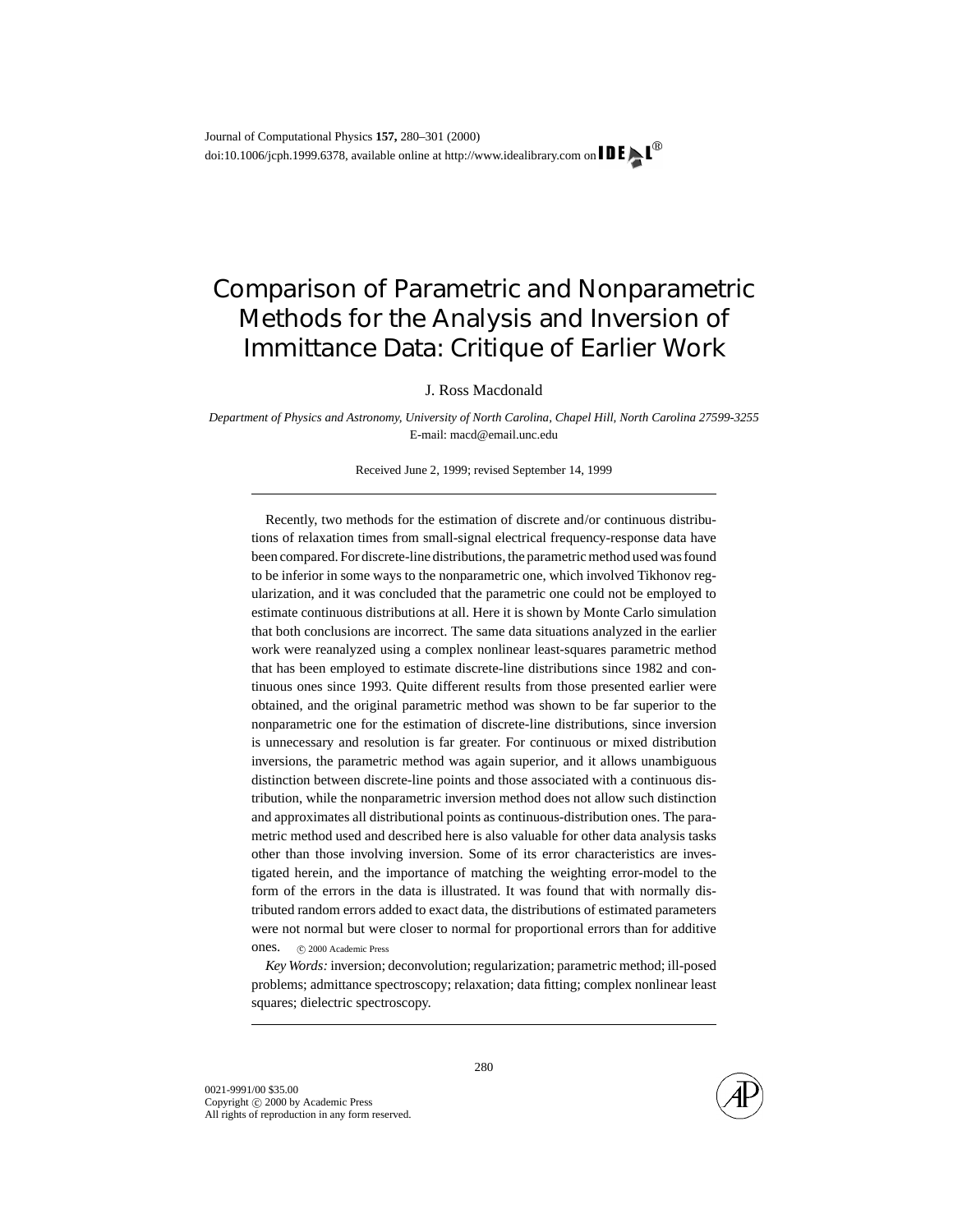# Comparison of Parametric and Nonparametric Methods for the Analysis and Inversion of Immittance Data: Critique of Earlier Work

J. Ross Macdonald

*Department of Physics and Astronomy, University of North Carolina, Chapel Hill, North Carolina 27599-3255* E-mail: macd@email.unc.edu

Received June 2, 1999; revised September 14, 1999

Recently, two methods for the estimation of discrete and/or continuous distributions of relaxation times from small-signal electrical frequency-response data have been compared. For discrete-line distributions, the parametric method used was found to be inferior in some ways to the nonparametric one, which involved Tikhonov regularization, and it was concluded that the parametric one could not be employed to estimate continuous distributions at all. Here it is shown by Monte Carlo simulation that both conclusions are incorrect. The same data situations analyzed in the earlier work were reanalyzed using a complex nonlinear least-squares parametric method that has been employed to estimate discrete-line distributions since 1982 and continuous ones since 1993. Quite different results from those presented earlier were obtained, and the original parametric method was shown to be far superior to the nonparametric one for the estimation of discrete-line distributions, since inversion is unnecessary and resolution is far greater. For continuous or mixed distribution inversions, the parametric method was again superior, and it allows unambiguous distinction between discrete-line points and those associated with a continuous distribution, while the nonparametric inversion method does not allow such distinction and approximates all distributional points as continuous-distribution ones. The parametric method used and described here is also valuable for other data analysis tasks other than those involving inversion. Some of its error characteristics are investigated herein, and the importance of matching the weighting error-model to the form of the errors in the data is illustrated. It was found that with normally distributed random errors added to exact data, the distributions of estimated parameters were not normal but were closer to normal for proportional errors than for additive ONES. (C) 2000 Academic Press

*Key Words:* inversion; deconvolution; regularization; parametric method; ill-posed problems; admittance spectroscopy; relaxation; data fitting; complex nonlinear least squares; dielectric spectroscopy.

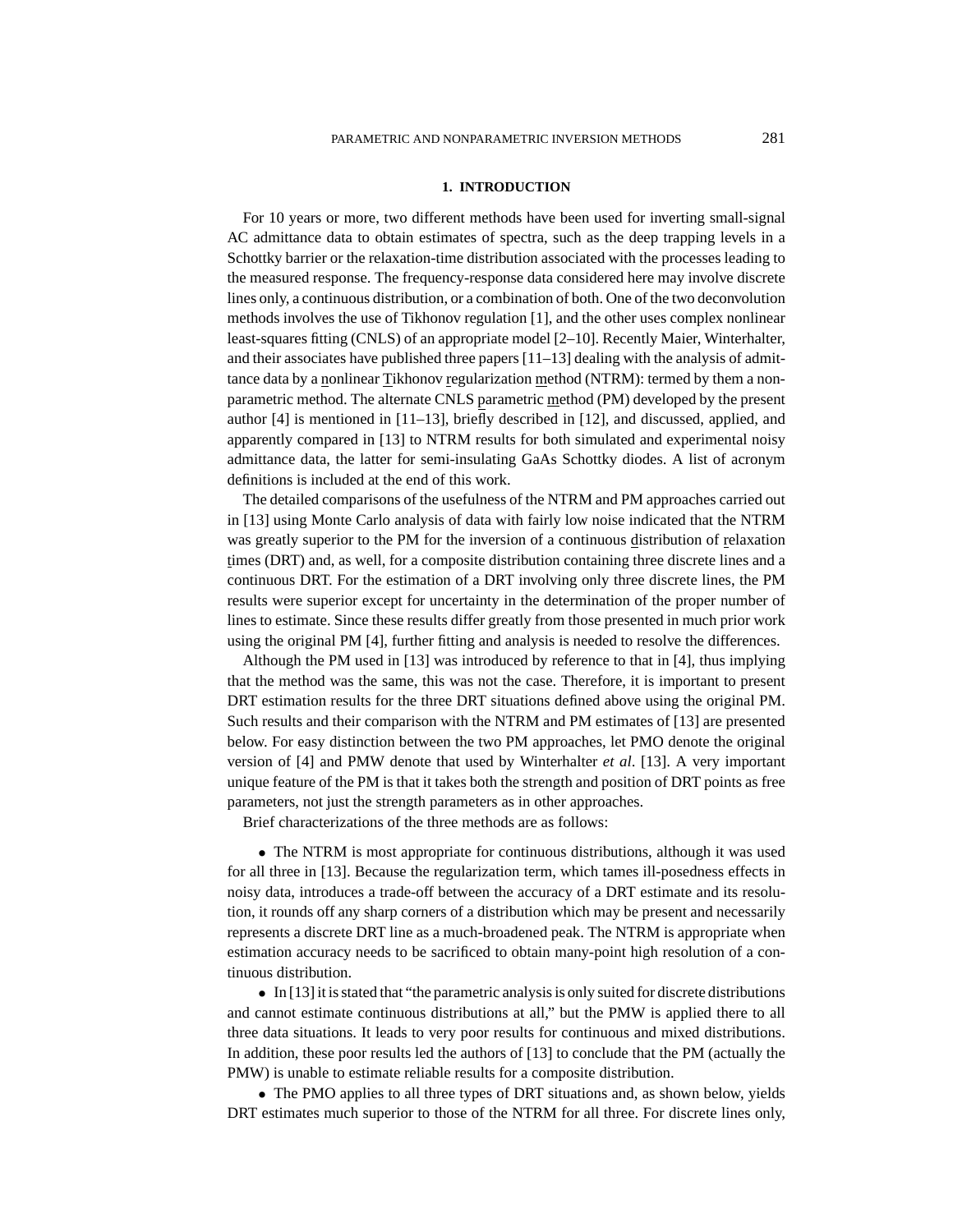## **1. INTRODUCTION**

For 10 years or more, two different methods have been used for inverting small-signal AC admittance data to obtain estimates of spectra, such as the deep trapping levels in a Schottky barrier or the relaxation-time distribution associated with the processes leading to the measured response. The frequency-response data considered here may involve discrete lines only, a continuous distribution, or a combination of both. One of the two deconvolution methods involves the use of Tikhonov regulation [1], and the other uses complex nonlinear least-squares fitting (CNLS) of an appropriate model [2–10]. Recently Maier, Winterhalter, and their associates have published three papers [11–13] dealing with the analysis of admittance data by a nonlinear Tikhonov regularization method (NTRM): termed by them a nonparametric method. The alternate CNLS parametric method (PM) developed by the present author [4] is mentioned in [11–13], briefly described in [12], and discussed, applied, and apparently compared in [13] to NTRM results for both simulated and experimental noisy admittance data, the latter for semi-insulating GaAs Schottky diodes. A list of acronym definitions is included at the end of this work.

The detailed comparisons of the usefulness of the NTRM and PM approaches carried out in [13] using Monte Carlo analysis of data with fairly low noise indicated that the NTRM was greatly superior to the PM for the inversion of a continuous distribution of relaxation times (DRT) and, as well, for a composite distribution containing three discrete lines and a continuous DRT. For the estimation of a DRT involving only three discrete lines, the PM results were superior except for uncertainty in the determination of the proper number of lines to estimate. Since these results differ greatly from those presented in much prior work using the original PM [4], further fitting and analysis is needed to resolve the differences.

Although the PM used in [13] was introduced by reference to that in [4], thus implying that the method was the same, this was not the case. Therefore, it is important to present DRT estimation results for the three DRT situations defined above using the original PM. Such results and their comparison with the NTRM and PM estimates of [13] are presented below. For easy distinction between the two PM approaches, let PMO denote the original version of [4] and PMW denote that used by Winterhalter *et al*. [13]. A very important unique feature of the PM is that it takes both the strength and position of DRT points as free parameters, not just the strength parameters as in other approaches.

Brief characterizations of the three methods are as follows:

• The NTRM is most appropriate for continuous distributions, although it was used for all three in [13]. Because the regularization term, which tames ill-posedness effects in noisy data, introduces a trade-off between the accuracy of a DRT estimate and its resolution, it rounds off any sharp corners of a distribution which may be present and necessarily represents a discrete DRT line as a much-broadened peak. The NTRM is appropriate when estimation accuracy needs to be sacrificed to obtain many-point high resolution of a continuous distribution.

• In [13] it is stated that "the parametric analysis is only suited for discrete distributions and cannot estimate continuous distributions at all," but the PMW is applied there to all three data situations. It leads to very poor results for continuous and mixed distributions. In addition, these poor results led the authors of [13] to conclude that the PM (actually the PMW) is unable to estimate reliable results for a composite distribution.

• The PMO applies to all three types of DRT situations and, as shown below, yields DRT estimates much superior to those of the NTRM for all three. For discrete lines only,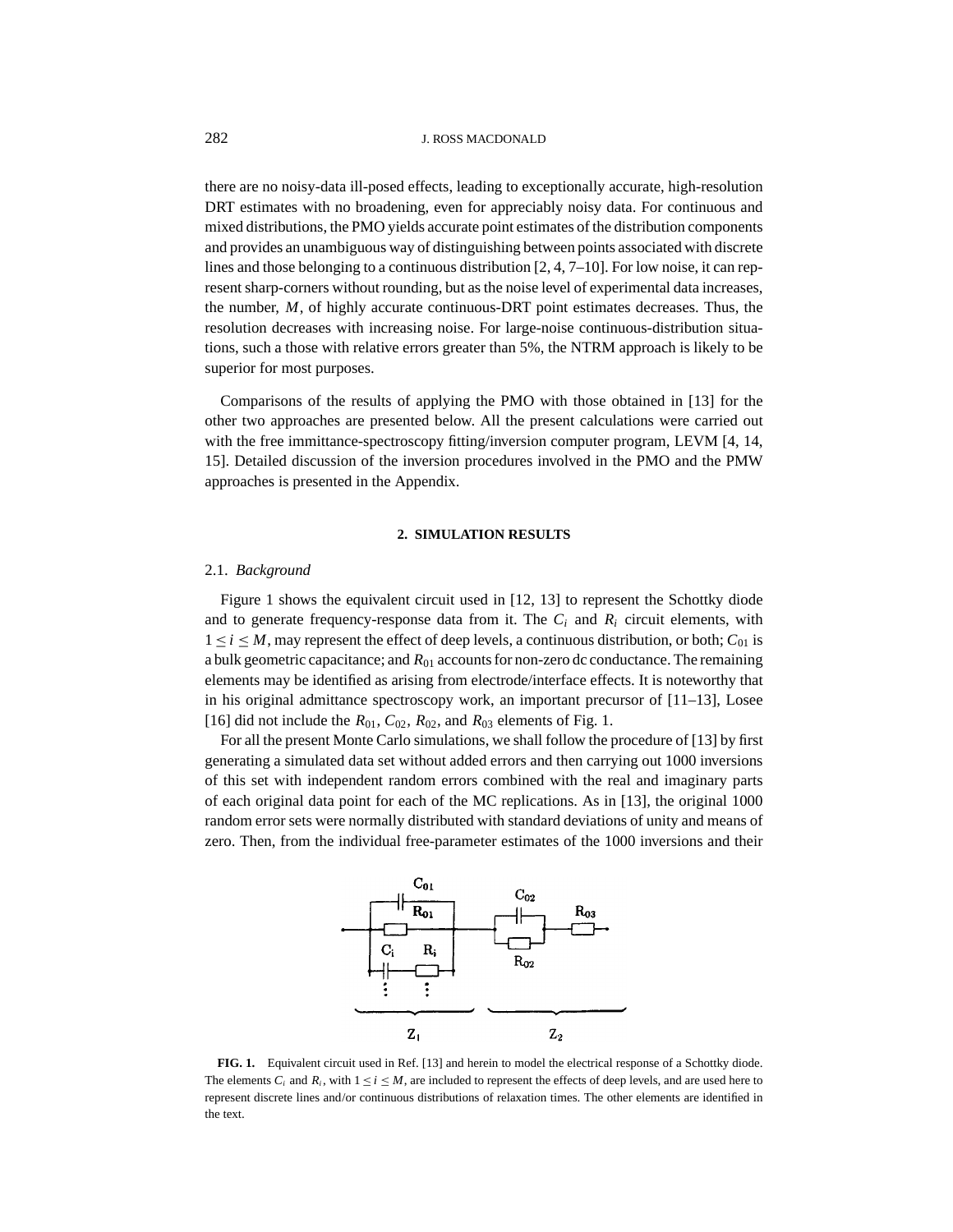there are no noisy-data ill-posed effects, leading to exceptionally accurate, high-resolution DRT estimates with no broadening, even for appreciably noisy data. For continuous and mixed distributions, the PMO yields accurate point estimates of the distribution components and provides an unambiguous way of distinguishing between points associated with discrete lines and those belonging to a continuous distribution [2, 4, 7–10]. For low noise, it can represent sharp-corners without rounding, but as the noise level of experimental data increases, the number, *M*, of highly accurate continuous-DRT point estimates decreases. Thus, the resolution decreases with increasing noise. For large-noise continuous-distribution situations, such a those with relative errors greater than 5%, the NTRM approach is likely to be superior for most purposes.

Comparisons of the results of applying the PMO with those obtained in [13] for the other two approaches are presented below. All the present calculations were carried out with the free immittance-spectroscopy fitting/inversion computer program, LEVM [4, 14, 15]. Detailed discussion of the inversion procedures involved in the PMO and the PMW approaches is presented in the Appendix.

## **2. SIMULATION RESULTS**

## 2.1. *Background*

Figure 1 shows the equivalent circuit used in [12, 13] to represent the Schottky diode and to generate frequency-response data from it. The  $C_i$  and  $R_i$  circuit elements, with  $1 \le i \le M$ , may represent the effect of deep levels, a continuous distribution, or both;  $C_{01}$  is a bulk geometric capacitance; and *R*<sup>01</sup> accounts for non-zero dc conductance. The remaining elements may be identified as arising from electrode/interface effects. It is noteworthy that in his original admittance spectroscopy work, an important precursor of [11–13], Losee [16] did not include the  $R_{01}$ ,  $C_{02}$ ,  $R_{02}$ , and  $R_{03}$  elements of Fig. 1.

For all the present Monte Carlo simulations, we shall follow the procedure of [13] by first generating a simulated data set without added errors and then carrying out 1000 inversions of this set with independent random errors combined with the real and imaginary parts of each original data point for each of the MC replications. As in [13], the original 1000 random error sets were normally distributed with standard deviations of unity and means of zero. Then, from the individual free-parameter estimates of the 1000 inversions and their



**FIG. 1.** Equivalent circuit used in Ref. [13] and herein to model the electrical response of a Schottky diode. The elements  $C_i$  and  $R_i$ , with  $1 \le i \le M$ , are included to represent the effects of deep levels, and are used here to represent discrete lines and/or continuous distributions of relaxation times. The other elements are identified in the text.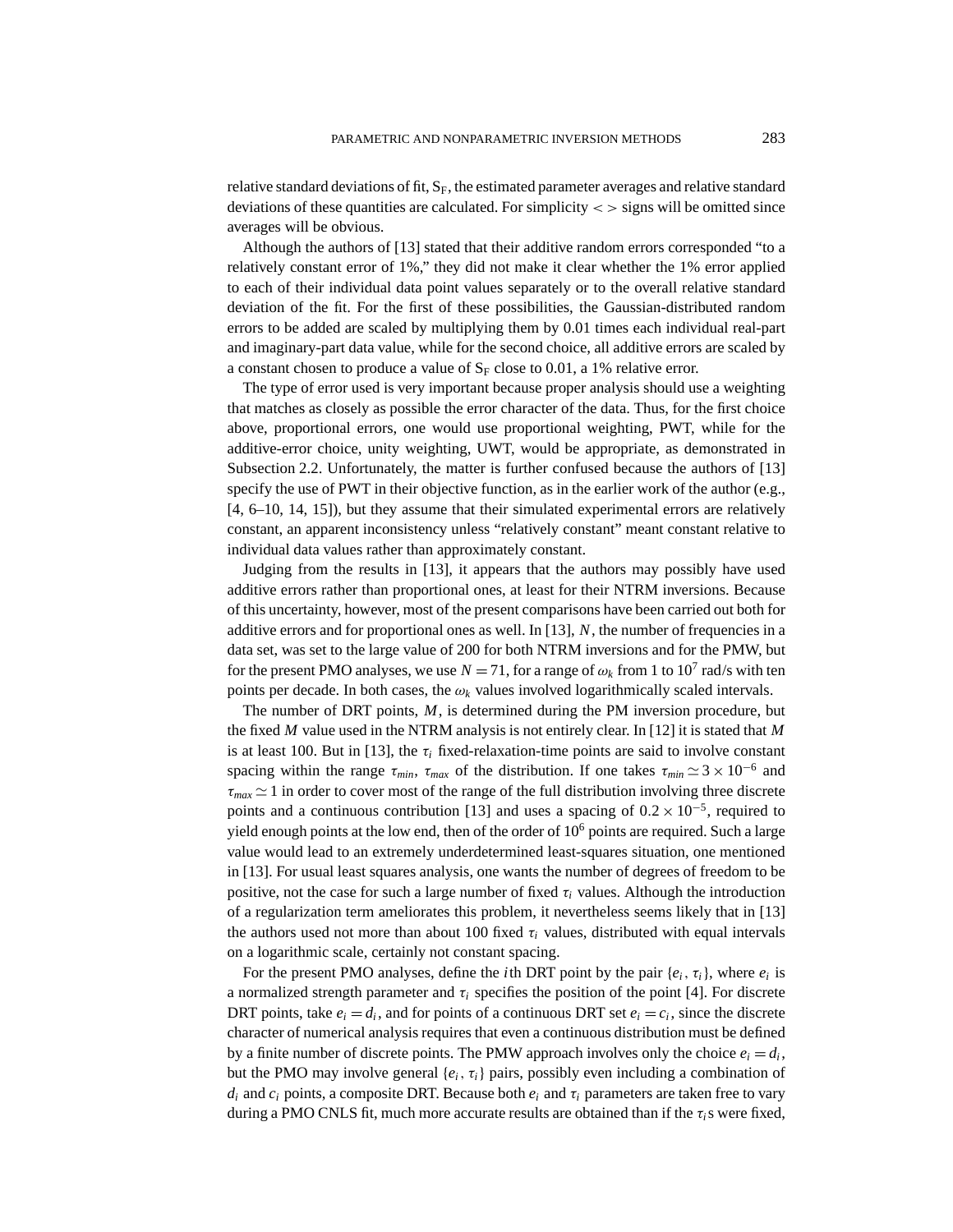relative standard deviations of fit,  $S_F$ , the estimated parameter averages and relative standard deviations of these quantities are calculated. For simplicity  $\langle \rangle$  is signs will be omitted since averages will be obvious.

Although the authors of [13] stated that their additive random errors corresponded "to a relatively constant error of 1%," they did not make it clear whether the 1% error applied to each of their individual data point values separately or to the overall relative standard deviation of the fit. For the first of these possibilities, the Gaussian-distributed random errors to be added are scaled by multiplying them by 0.01 times each individual real-part and imaginary-part data value, while for the second choice, all additive errors are scaled by a constant chosen to produce a value of  $S_F$  close to 0.01, a 1% relative error.

The type of error used is very important because proper analysis should use a weighting that matches as closely as possible the error character of the data. Thus, for the first choice above, proportional errors, one would use proportional weighting, PWT, while for the additive-error choice, unity weighting, UWT, would be appropriate, as demonstrated in Subsection 2.2. Unfortunately, the matter is further confused because the authors of [13] specify the use of PWT in their objective function, as in the earlier work of the author (e.g., [4, 6–10, 14, 15]), but they assume that their simulated experimental errors are relatively constant, an apparent inconsistency unless "relatively constant" meant constant relative to individual data values rather than approximately constant.

Judging from the results in [13], it appears that the authors may possibly have used additive errors rather than proportional ones, at least for their NTRM inversions. Because of this uncertainty, however, most of the present comparisons have been carried out both for additive errors and for proportional ones as well. In  $[13]$ ,  $N$ , the number of frequencies in a data set, was set to the large value of 200 for both NTRM inversions and for the PMW, but for the present PMO analyses, we use  $N = 71$ , for a range of  $\omega_k$  from 1 to 10<sup>7</sup> rad/s with ten points per decade. In both cases, the  $\omega_k$  values involved logarithmically scaled intervals.

The number of DRT points, *M*, is determined during the PM inversion procedure, but the fixed *M* value used in the NTRM analysis is not entirely clear. In [12] it is stated that *M* is at least 100. But in [13], the  $\tau_i$  fixed-relaxation-time points are said to involve constant spacing within the range  $\tau_{min}$ ,  $\tau_{max}$  of the distribution. If one takes  $\tau_{min} \approx 3 \times 10^{-6}$  and  $\tau_{max} \approx 1$  in order to cover most of the range of the full distribution involving three discrete points and a continuous contribution [13] and uses a spacing of  $0.2 \times 10^{-5}$ , required to yield enough points at the low end, then of the order of  $10<sup>6</sup>$  points are required. Such a large value would lead to an extremely underdetermined least-squares situation, one mentioned in [13]. For usual least squares analysis, one wants the number of degrees of freedom to be positive, not the case for such a large number of fixed  $\tau_i$  values. Although the introduction of a regularization term ameliorates this problem, it nevertheless seems likely that in [13] the authors used not more than about 100 fixed  $\tau_i$  values, distributed with equal intervals on a logarithmic scale, certainly not constant spacing.

For the present PMO analyses, define the *i*th DRT point by the pair  $\{e_i, \tau_i\}$ , where  $e_i$  is a normalized strength parameter and  $\tau_i$  specifies the position of the point [4]. For discrete DRT points, take  $e_i = d_i$ , and for points of a continuous DRT set  $e_i = c_i$ , since the discrete character of numerical analysis requires that even a continuous distribution must be defined by a finite number of discrete points. The PMW approach involves only the choice  $e_i = d_i$ , but the PMO may involve general  $\{e_i, \tau_i\}$  pairs, possibly even including a combination of  $d_i$  and  $c_i$  points, a composite DRT. Because both  $e_i$  and  $\tau_i$  parameters are taken free to vary during a PMO CNLS fit, much more accurate results are obtained than if the  $\tau_i$ s were fixed,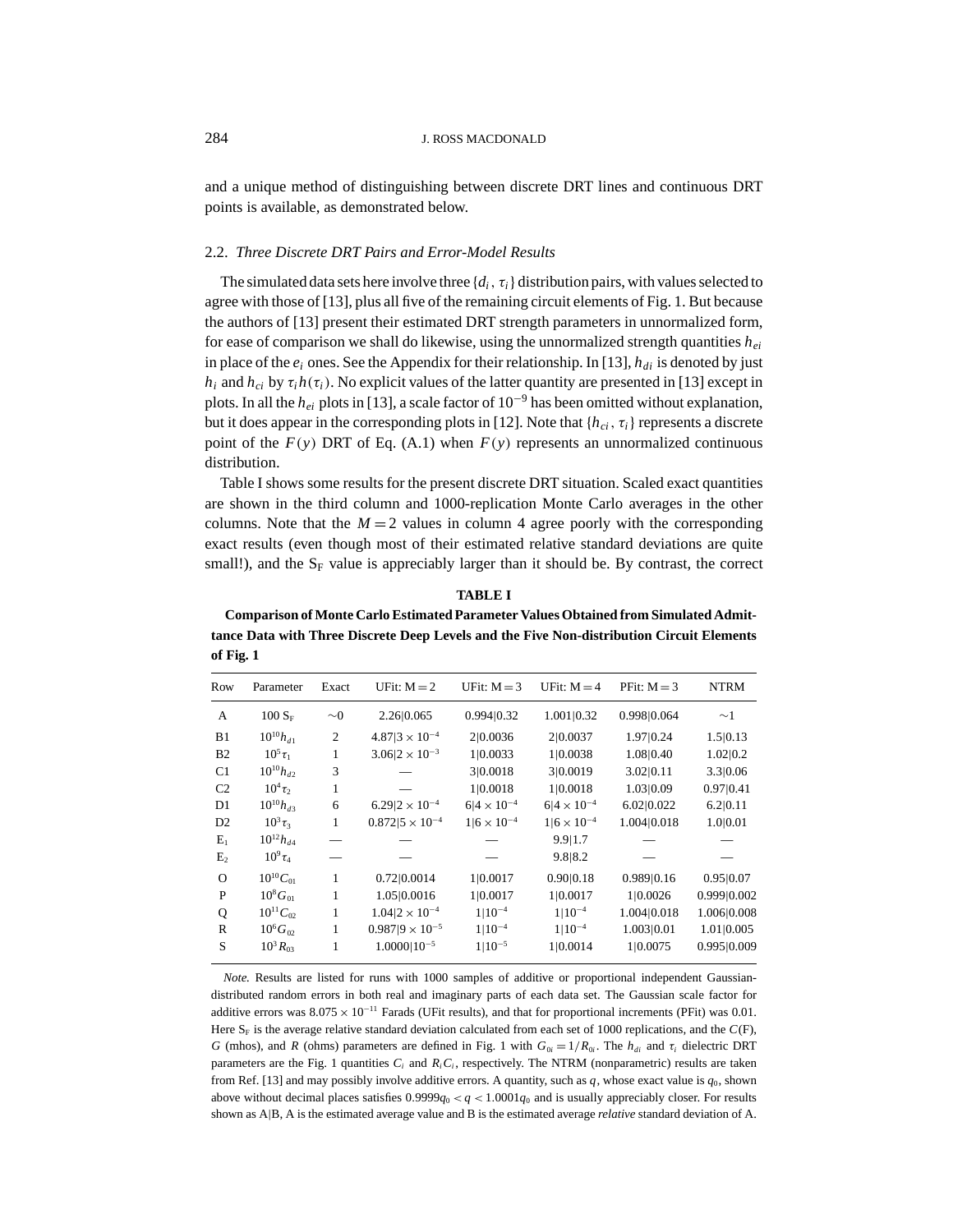and a unique method of distinguishing between discrete DRT lines and continuous DRT points is available, as demonstrated below.

# 2.2. *Three Discrete DRT Pairs and Error-Model Results*

The simulated data sets here involve three  $\{d_i, \tau_i\}$  distribution pairs, with values selected to agree with those of [13], plus all five of the remaining circuit elements of Fig. 1. But because the authors of [13] present their estimated DRT strength parameters in unnormalized form, for ease of comparison we shall do likewise, using the unnormalized strength quantities *hei* in place of the  $e_i$  ones. See the Appendix for their relationship. In [13],  $h_{di}$  is denoted by just  $h_i$  and  $h_{ci}$  by  $\tau_i h(\tau_i)$ . No explicit values of the latter quantity are presented in [13] except in plots. In all the *hei* plots in [13], a scale factor of 10<sup>−</sup><sup>9</sup> has been omitted without explanation, but it does appear in the corresponding plots in [12]. Note that  $\{h_{ci}, \tau_i\}$  represents a discrete point of the  $F(y)$  DRT of Eq. (A.1) when  $F(y)$  represents an unnormalized continuous distribution.

Table I shows some results for the present discrete DRT situation. Scaled exact quantities are shown in the third column and 1000-replication Monte Carlo averages in the other columns. Note that the  $M = 2$  values in column 4 agree poorly with the corresponding exact results (even though most of their estimated relative standard deviations are quite small!), and the  $S_F$  value is appreciably larger than it should be. By contrast, the correct

## **TABLE I**

**Comparison of Monte Carlo Estimated Parameter Values Obtained from Simulated Admittance Data with Three Discrete Deep Levels and the Five Non-distribution Circuit Elements of Fig. 1**

| Row            | Parameter       | Exact          | UFit: $M = 2$            | UFit: $M = 3$        | UFit: $M = 4$        | PFit: $M = 3$ | <b>NTRM</b> |
|----------------|-----------------|----------------|--------------------------|----------------------|----------------------|---------------|-------------|
| A              | $100 S_F$       | $\sim 0$       | 2.26 0.065               | 0.994 0.32           | 1.001 0.32           | 0.998 0.064   | $\sim$ 1    |
| B1             | $10^{10}h_{d1}$ | $\overline{c}$ | $4.87 3 \times 10^{-4}$  | 2 0.0036             | 2 0.0037             | 1.97 0.24     | 1.5 0.13    |
| B <sub>2</sub> | $10^5 \tau_1$   | 1              | $3.06 2 \times 10^{-3}$  | 1 0.0033             | 1 0.0038             | 1.08 0.40     | 1.02 0.2    |
| C <sub>1</sub> | $10^{10}h_{d2}$ | 3              |                          | 3 0.0018             | 3 0.0019             | 3.02 0.11     | 3.3 0.06    |
| C <sub>2</sub> | $10^4 \tau_2$   | 1              |                          | 1 0.0018             | 1 0.0018             | 1.03 0.09     | 0.97 0.41   |
| D <sub>1</sub> | $10^{10}h_{d3}$ | 6              | $6.2912 \times 10^{-4}$  | $6 4 \times 10^{-4}$ | $6 4 \times 10^{-4}$ | 6.02 0.022    | 6.2 0.11    |
| D2             | $10^3 \tau_3$   | 1              | $0.87215 \times 10^{-4}$ | $1 6 \times 10^{-4}$ | $1 6 \times 10^{-4}$ | 1.004 0.018   | 1.000.01    |
| $E_1$          | $10^{12}h_{d4}$ |                |                          |                      | 9.9 1.7              |               |             |
| $E_2$          | $10^9 \tau_4$   |                |                          |                      | 9.8 8.2              |               |             |
| $\Omega$       | $10^{10}C_{01}$ | 1              | 0.72 0.0014              | 1 0.0017             | 0.90 0.18            | 0.989 0.16    | 0.95 0.07   |
| P              | $10^8 G_{01}$   | 1              | 1.05 0.0016              | 1 0.0017             | 1 0.0017             | 1 0.0026      | 0.999 0.002 |
| $\mathbf Q$    | $10^{11}C_{02}$ | 1              | $1.04 2 \times 10^{-4}$  | $1 10^{-4}$          | $1 10^{-4}$          | 1.004 0.018   | 1.006 0.008 |
| R              | $10^{6} G_{02}$ | 1              | $0.987 9 \times 10^{-5}$ | $1 10^{-4}$          | $1 10^{-4}$          | 1.003 0.01    | 1.01 0.005  |
| S              | $10^3 R_{03}$   |                | $1.0000110^{-5}$         | $1 10^{-5}$          | 1 0.0014             | 1 0.0075      | 0.995 0.009 |

*Note.* Results are listed for runs with 1000 samples of additive or proportional independent Gaussiandistributed random errors in both real and imaginary parts of each data set. The Gaussian scale factor for additive errors was  $8.075 \times 10^{-11}$  Farads (UFit results), and that for proportional increments (PFit) was 0.01. Here  $S_F$  is the average relative standard deviation calculated from each set of 1000 replications, and the  $C(F)$ , *G* (mhos), and *R* (ohms) parameters are defined in Fig. 1 with  $G_{0i} = 1/R_{0i}$ . The  $h_{di}$  and  $\tau_i$  dielectric DRT parameters are the Fig. 1 quantities  $C_i$  and  $R_iC_i$ , respectively. The NTRM (nonparametric) results are taken from Ref. [13] and may possibly involve additive errors. A quantity, such as  $q$ , whose exact value is  $q_0$ , shown above without decimal places satisfies  $0.9999q_0 < q < 1.0001q_0$  and is usually appreciably closer. For results shown as A|B, A is the estimated average value and B is the estimated average *relative* standard deviation of A.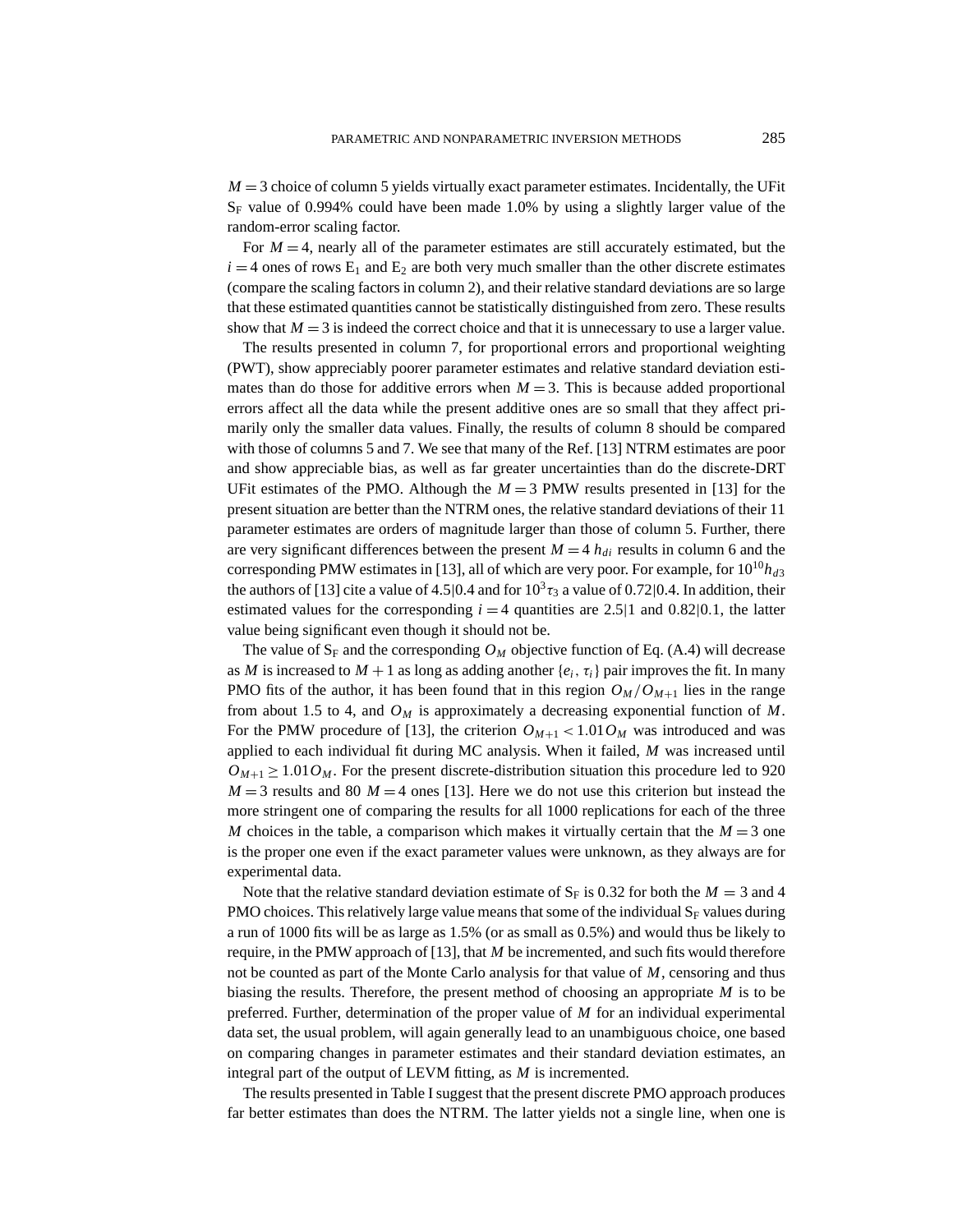$M = 3$  choice of column 5 yields virtually exact parameter estimates. Incidentally, the UFit  $S_F$  value of 0.994% could have been made 1.0% by using a slightly larger value of the random-error scaling factor.

For  $M = 4$ , nearly all of the parameter estimates are still accurately estimated, but the  $i = 4$  ones of rows E<sub>1</sub> and E<sub>2</sub> are both very much smaller than the other discrete estimates (compare the scaling factors in column 2), and their relative standard deviations are so large that these estimated quantities cannot be statistically distinguished from zero. These results show that  $M = 3$  is indeed the correct choice and that it is unnecessary to use a larger value.

The results presented in column 7, for proportional errors and proportional weighting (PWT), show appreciably poorer parameter estimates and relative standard deviation estimates than do those for additive errors when  $M = 3$ . This is because added proportional errors affect all the data while the present additive ones are so small that they affect primarily only the smaller data values. Finally, the results of column 8 should be compared with those of columns 5 and 7. We see that many of the Ref. [13] NTRM estimates are poor and show appreciable bias, as well as far greater uncertainties than do the discrete-DRT UFit estimates of the PMO. Although the  $M = 3$  PMW results presented in [13] for the present situation are better than the NTRM ones, the relative standard deviations of their 11 parameter estimates are orders of magnitude larger than those of column 5. Further, there are very significant differences between the present  $M = 4 h_{di}$  results in column 6 and the corresponding PMW estimates in [13], all of which are very poor. For example, for  $10^{10}h_{d3}$ the authors of [13] cite a value of 4.5|0.4 and for  $10^3 \tau_3$  a value of 0.72|0.4. In addition, their estimated values for the corresponding  $i = 4$  quantities are 2.5|1 and 0.82|0.1, the latter value being significant even though it should not be.

The value of  $S_F$  and the corresponding  $O_M$  objective function of Eq. (A.4) will decrease as *M* is increased to  $M + 1$  as long as adding another { $e_i$ ,  $\tau_i$ } pair improves the fit. In many PMO fits of the author, it has been found that in this region  $O_M/O_{M+1}$  lies in the range from about 1.5 to 4, and  $O_M$  is approximately a decreasing exponential function of M. For the PMW procedure of [13], the criterion  $O_{M+1}$  < 1.01 $O_M$  was introduced and was applied to each individual fit during MC analysis. When it failed, *M* was increased until  $O_{M+1} \geq 1.01 O_M$ . For the present discrete-distribution situation this procedure led to 920  $M = 3$  results and 80  $M = 4$  ones [13]. Here we do not use this criterion but instead the more stringent one of comparing the results for all 1000 replications for each of the three *M* choices in the table, a comparison which makes it virtually certain that the  $M = 3$  one is the proper one even if the exact parameter values were unknown, as they always are for experimental data.

Note that the relative standard deviation estimate of  $S_F$  is 0.32 for both the  $M = 3$  and 4 PMO choices. This relatively large value means that some of the individual  $S_F$  values during a run of 1000 fits will be as large as 1.5% (or as small as 0.5%) and would thus be likely to require, in the PMW approach of [13], that *M* be incremented, and such fits would therefore not be counted as part of the Monte Carlo analysis for that value of *M*, censoring and thus biasing the results. Therefore, the present method of choosing an appropriate *M* is to be preferred. Further, determination of the proper value of *M* for an individual experimental data set, the usual problem, will again generally lead to an unambiguous choice, one based on comparing changes in parameter estimates and their standard deviation estimates, an integral part of the output of LEVM fitting, as *M* is incremented.

The results presented in Table I suggest that the present discrete PMO approach produces far better estimates than does the NTRM. The latter yields not a single line, when one is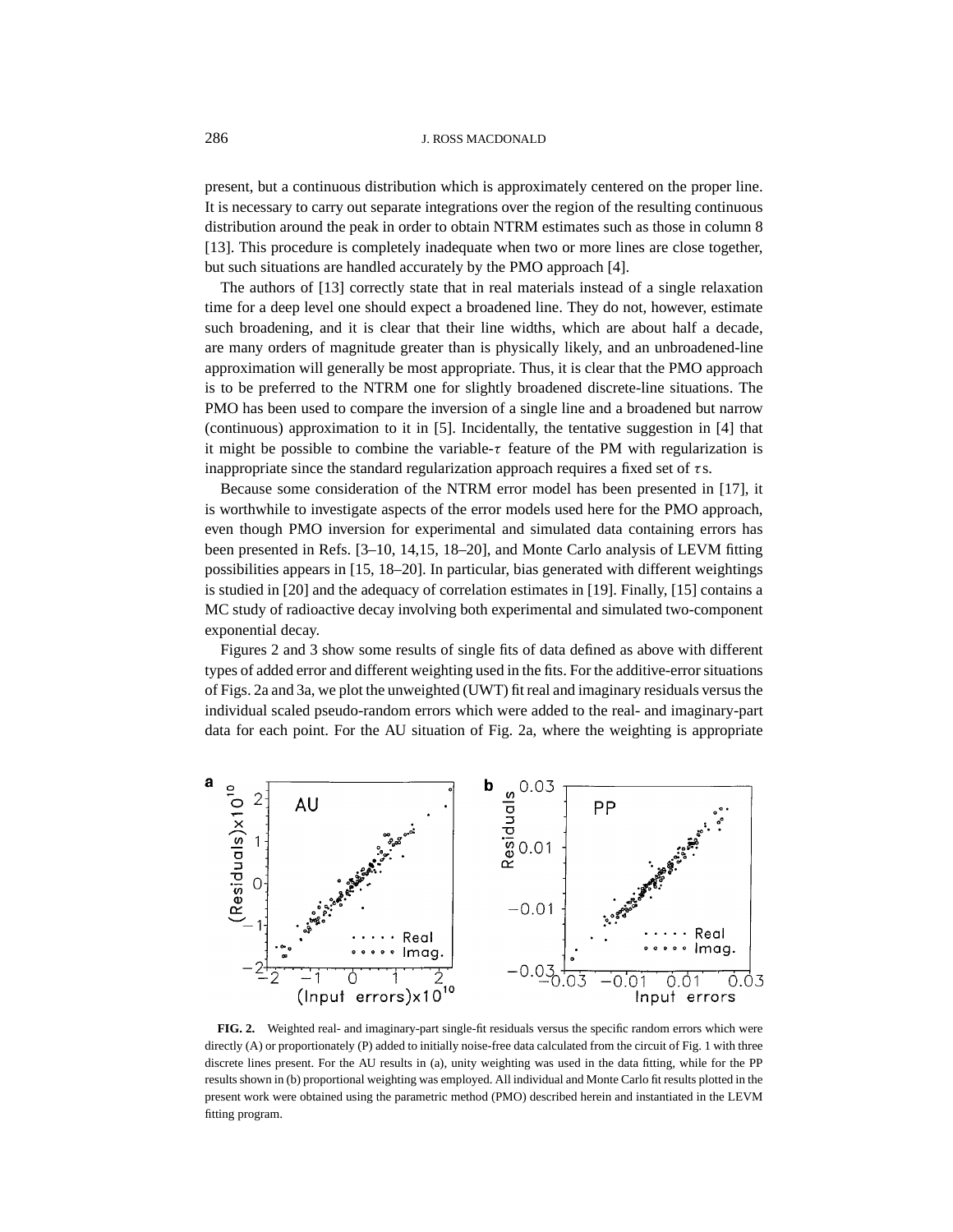present, but a continuous distribution which is approximately centered on the proper line. It is necessary to carry out separate integrations over the region of the resulting continuous distribution around the peak in order to obtain NTRM estimates such as those in column 8 [13]. This procedure is completely inadequate when two or more lines are close together, but such situations are handled accurately by the PMO approach [4].

The authors of [13] correctly state that in real materials instead of a single relaxation time for a deep level one should expect a broadened line. They do not, however, estimate such broadening, and it is clear that their line widths, which are about half a decade, are many orders of magnitude greater than is physically likely, and an unbroadened-line approximation will generally be most appropriate. Thus, it is clear that the PMO approach is to be preferred to the NTRM one for slightly broadened discrete-line situations. The PMO has been used to compare the inversion of a single line and a broadened but narrow (continuous) approximation to it in [5]. Incidentally, the tentative suggestion in [4] that it might be possible to combine the variable- $\tau$  feature of the PM with regularization is inappropriate since the standard regularization approach requires a fixed set of  $\tau s$ .

Because some consideration of the NTRM error model has been presented in [17], it is worthwhile to investigate aspects of the error models used here for the PMO approach, even though PMO inversion for experimental and simulated data containing errors has been presented in Refs. [3–10, 14,15, 18–20], and Monte Carlo analysis of LEVM fitting possibilities appears in [15, 18–20]. In particular, bias generated with different weightings is studied in [20] and the adequacy of correlation estimates in [19]. Finally, [15] contains a MC study of radioactive decay involving both experimental and simulated two-component exponential decay.

Figures 2 and 3 show some results of single fits of data defined as above with different types of added error and different weighting used in the fits. For the additive-error situations of Figs. 2a and 3a, we plot the unweighted (UWT) fit real and imaginary residuals versus the individual scaled pseudo-random errors which were added to the real- and imaginary-part data for each point. For the AU situation of Fig. 2a, where the weighting is appropriate



**FIG. 2.** Weighted real- and imaginary-part single-fit residuals versus the specific random errors which were directly (A) or proportionately (P) added to initially noise-free data calculated from the circuit of Fig. 1 with three discrete lines present. For the AU results in (a), unity weighting was used in the data fitting, while for the PP results shown in (b) proportional weighting was employed. All individual and Monte Carlo fit results plotted in the present work were obtained using the parametric method (PMO) described herein and instantiated in the LEVM fitting program.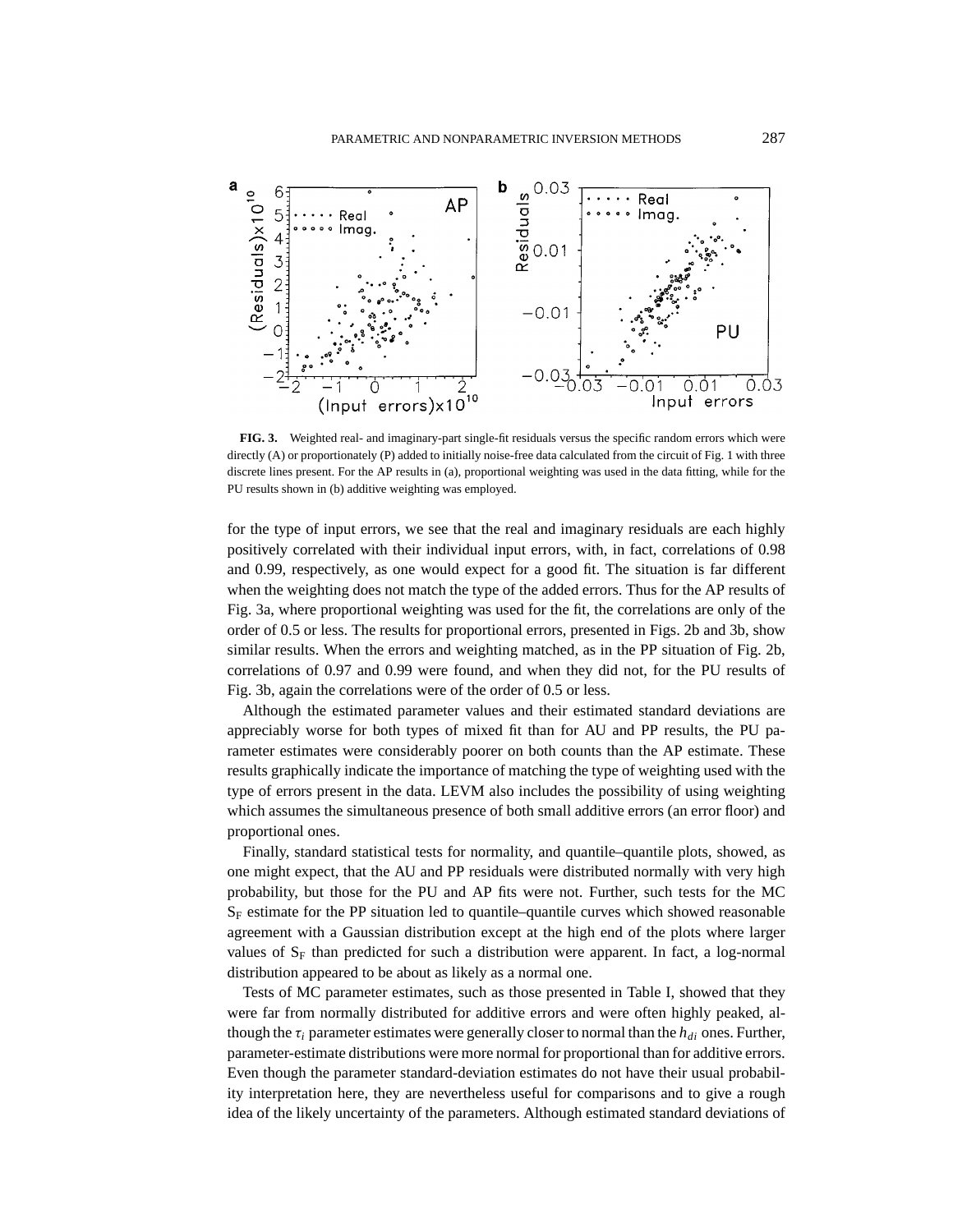

**FIG. 3.** Weighted real- and imaginary-part single-fit residuals versus the specific random errors which were directly (A) or proportionately (P) added to initially noise-free data calculated from the circuit of Fig. 1 with three discrete lines present. For the AP results in (a), proportional weighting was used in the data fitting, while for the PU results shown in (b) additive weighting was employed.

for the type of input errors, we see that the real and imaginary residuals are each highly positively correlated with their individual input errors, with, in fact, correlations of 0.98 and 0.99, respectively, as one would expect for a good fit. The situation is far different when the weighting does not match the type of the added errors. Thus for the AP results of Fig. 3a, where proportional weighting was used for the fit, the correlations are only of the order of 0.5 or less. The results for proportional errors, presented in Figs. 2b and 3b, show similar results. When the errors and weighting matched, as in the PP situation of Fig. 2b, correlations of 0.97 and 0.99 were found, and when they did not, for the PU results of Fig. 3b, again the correlations were of the order of 0.5 or less.

Although the estimated parameter values and their estimated standard deviations are appreciably worse for both types of mixed fit than for AU and PP results, the PU parameter estimates were considerably poorer on both counts than the AP estimate. These results graphically indicate the importance of matching the type of weighting used with the type of errors present in the data. LEVM also includes the possibility of using weighting which assumes the simultaneous presence of both small additive errors (an error floor) and proportional ones.

Finally, standard statistical tests for normality, and quantile–quantile plots, showed, as one might expect, that the AU and PP residuals were distributed normally with very high probability, but those for the PU and AP fits were not. Further, such tests for the MC  $S_F$  estimate for the PP situation led to quantile–quantile curves which showed reasonable agreement with a Gaussian distribution except at the high end of the plots where larger values of  $S_F$  than predicted for such a distribution were apparent. In fact, a log-normal distribution appeared to be about as likely as a normal one.

Tests of MC parameter estimates, such as those presented in Table I, showed that they were far from normally distributed for additive errors and were often highly peaked, although the  $\tau_i$  parameter estimates were generally closer to normal than the  $h_{di}$  ones. Further, parameter-estimate distributions were more normal for proportional than for additive errors. Even though the parameter standard-deviation estimates do not have their usual probability interpretation here, they are nevertheless useful for comparisons and to give a rough idea of the likely uncertainty of the parameters. Although estimated standard deviations of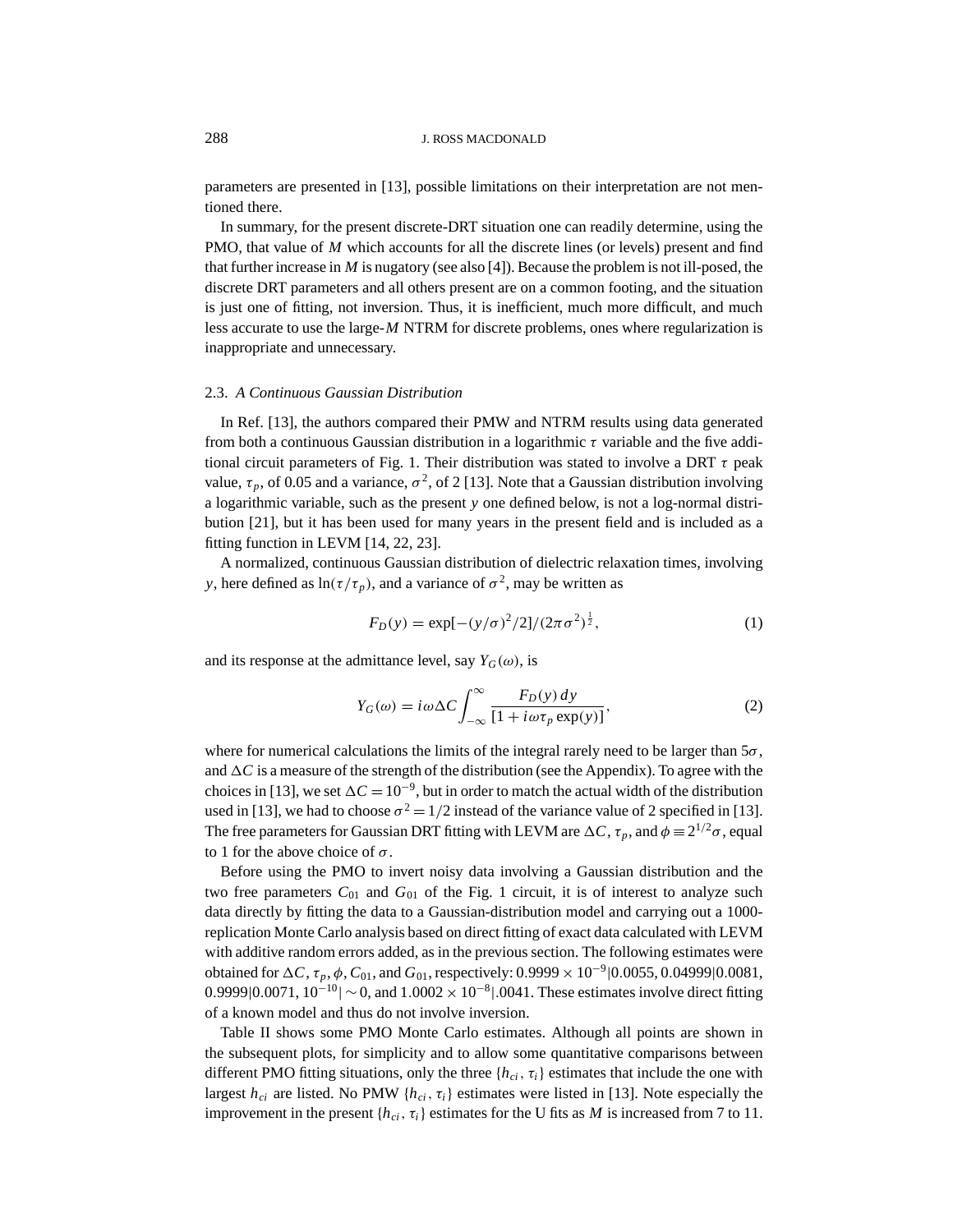parameters are presented in [13], possible limitations on their interpretation are not mentioned there.

In summary, for the present discrete-DRT situation one can readily determine, using the PMO, that value of *M* which accounts for all the discrete lines (or levels) present and find that further increase in  $M$  is nugatory (see also [4]). Because the problem is not ill-posed, the discrete DRT parameters and all others present are on a common footing, and the situation is just one of fitting, not inversion. Thus, it is inefficient, much more difficult, and much less accurate to use the large-*M* NTRM for discrete problems, ones where regularization is inappropriate and unnecessary.

# 2.3. *A Continuous Gaussian Distribution*

In Ref. [13], the authors compared their PMW and NTRM results using data generated from both a continuous Gaussian distribution in a logarithmic  $\tau$  variable and the five additional circuit parameters of Fig. 1. Their distribution was stated to involve a DRT  $\tau$  peak value,  $\tau_p$ , of 0.05 and a variance,  $\sigma^2$ , of 2 [13]. Note that a Gaussian distribution involving a logarithmic variable, such as the present *y* one defined below, is not a log-normal distribution [21], but it has been used for many years in the present field and is included as a fitting function in LEVM [14, 22, 23].

A normalized, continuous Gaussian distribution of dielectric relaxation times, involving *y*, here defined as  $\ln(\tau/\tau_p)$ , and a variance of  $\sigma^2$ , may be written as

$$
F_D(y) = \exp[-(y/\sigma)^2/2]/(2\pi\sigma^2)^{\frac{1}{2}},\tag{1}
$$

and its response at the admittance level, say  $Y_G(\omega)$ , is

$$
Y_G(\omega) = i\omega \Delta C \int_{-\infty}^{\infty} \frac{F_D(y) \, dy}{[1 + i\omega \tau_p \exp(y)]},\tag{2}
$$

where for numerical calculations the limits of the integral rarely need to be larger than  $5\sigma$ , and  $\Delta C$  is a measure of the strength of the distribution (see the Appendix). To agree with the choices in [13], we set  $\Delta C = 10^{-9}$ , but in order to match the actual width of the distribution used in [13], we had to choose  $\sigma^2 = 1/2$  instead of the variance value of 2 specified in [13]. The free parameters for Gaussian DRT fitting with LEVM are  $\Delta C$ ,  $\tau_p$ , and  $\phi \equiv 2^{1/2}\sigma$ , equal to 1 for the above choice of  $\sigma$ .

Before using the PMO to invert noisy data involving a Gaussian distribution and the two free parameters  $C_{01}$  and  $G_{01}$  of the Fig. 1 circuit, it is of interest to analyze such data directly by fitting the data to a Gaussian-distribution model and carrying out a 1000 replication Monte Carlo analysis based on direct fitting of exact data calculated with LEVM with additive random errors added, as in the previous section. The following estimates were obtained for  $\Delta C$ ,  $\tau_p$ ,  $\phi$ ,  $C_{01}$ , and  $G_{01}$ , respectively: 0.9999 × 10<sup>-9</sup>|0.0055, 0.04999|0.0081, 0.9999|0.0071,  $10^{-10}$ | ∼ 0, and  $1.0002 \times 10^{-8}$ |.0041. These estimates involve direct fitting of a known model and thus do not involve inversion.

Table II shows some PMO Monte Carlo estimates. Although all points are shown in the subsequent plots, for simplicity and to allow some quantitative comparisons between different PMO fitting situations, only the three  $\{h_{ci}, \tau_i\}$  estimates that include the one with largest  $h_{ci}$  are listed. No PMW  $\{h_{ci}, \tau_i\}$  estimates were listed in [13]. Note especially the improvement in the present  ${h_{ci}, \tau_i}$  estimates for the U fits as *M* is increased from 7 to 11.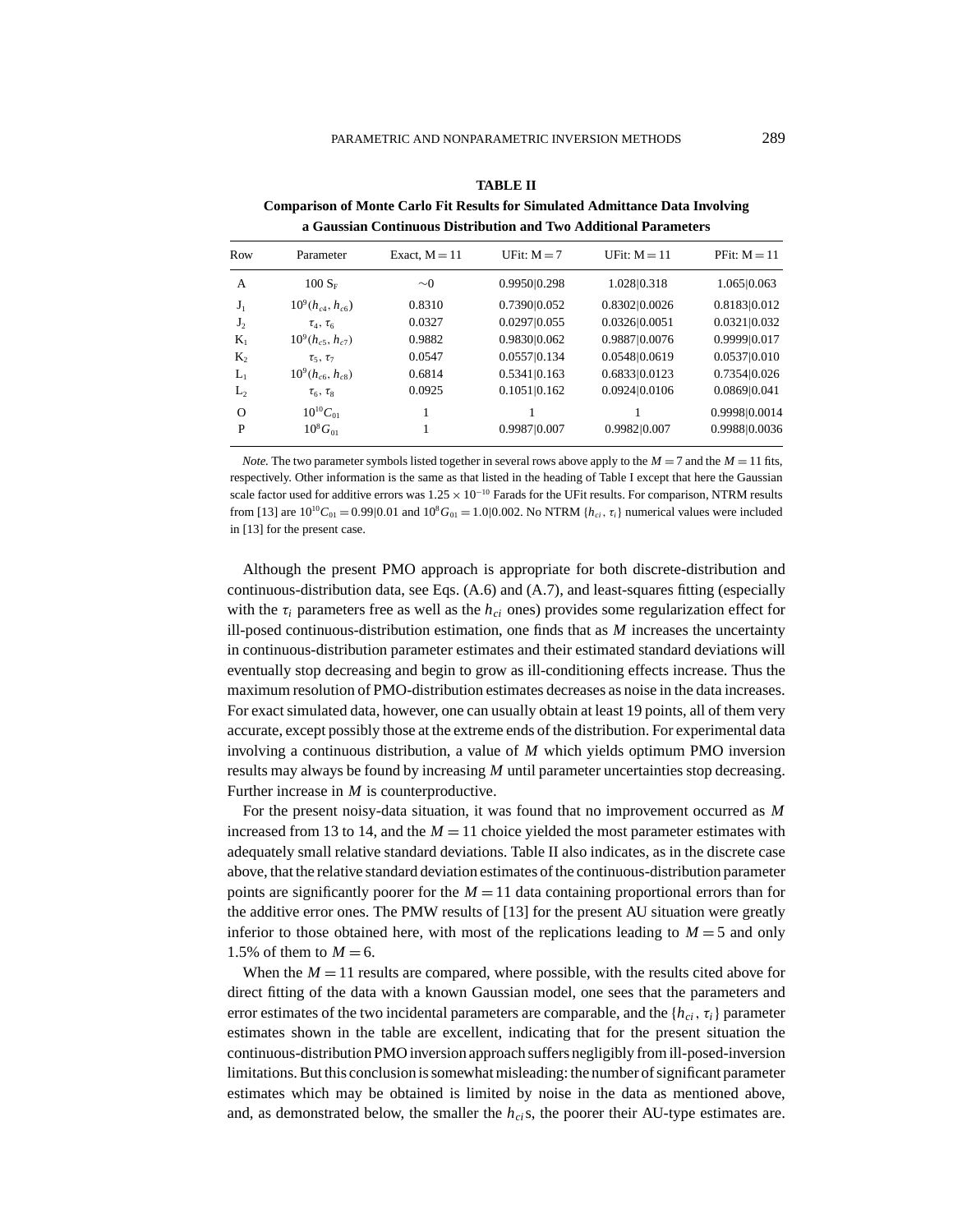|          |                        |                 |               | a Gaussian Continuous Distribution and Two Additional Parameters |                |
|----------|------------------------|-----------------|---------------|------------------------------------------------------------------|----------------|
| Row      | Parameter              | Exact, $M = 11$ | UFit: $M = 7$ | UFit: $M = 11$                                                   | PFit: $M = 11$ |
| A        | 100 S <sub>E</sub>     | $\sim 0$        | 0.9950 0.298  | 1.028 0.318                                                      | 1.065 0.063    |
| $J_1$    | $10^9(h_{c4}, h_{c6})$ | 0.8310          | 0.7390 0.052  | 0.8302 0.0026                                                    | 0.8183 0.012   |
| $J_2$    | $\tau_4, \tau_6$       | 0.0327          | 0.029710.055  | 0.0326 0.0051                                                    | 0.0321 0.032   |
| $K_1$    | $10^9(h_{c5}, h_{c7})$ | 0.9882          | 0.9830 0.062  | 0.9887 0.0076                                                    | 0.9999 0.017   |
| $K_2$    | $\tau_5$ , $\tau_7$    | 0.0547          | 0.0557 0.134  | 0.0548 0.0619                                                    | 0.0537 0.010   |
| $L_1$    | $10^9(h_{c6}, h_{c8})$ | 0.6814          | 0.5341 0.163  | 0.6833 0.0123                                                    | 0.7354 0.026   |
| $L_2$    | $\tau_6, \tau_8$       | 0.0925          | 0.1051 0.162  | 0.0924 0.0106                                                    | 0.0869 0.041   |
| $\Omega$ | $10^{10}C_{01}$        | 1               |               |                                                                  | 0.9998 0.0014  |
| P        | $10^8 G_{01}$          |                 | 0.9987 0.007  | 0.9982 0.007                                                     | 0.9988 0.0036  |
|          |                        |                 |               |                                                                  |                |

**TABLE II Comparison of Monte Carlo Fit Results for Simulated Admittance Data Involving a Gaussian Continuous Distribution and Two Additional Parameters**

*Note.* The two parameter symbols listed together in several rows above apply to the  $M = 7$  and the  $M = 11$  fits, respectively. Other information is the same as that listed in the heading of Table I except that here the Gaussian scale factor used for additive errors was  $1.25 \times 10^{-10}$  Farads for the UFit results. For comparison, NTRM results from [13] are  $10^{10}C_{01} = 0.99|0.01$  and  $10^{8}G_{01} = 1.0|0.002$ . No NTRM  $\{h_{ci}, \tau_i\}$  numerical values were included in [13] for the present case.

Although the present PMO approach is appropriate for both discrete-distribution and continuous-distribution data, see Eqs. (A.6) and (A.7), and least-squares fitting (especially with the  $\tau_i$  parameters free as well as the  $h_{ci}$  ones) provides some regularization effect for ill-posed continuous-distribution estimation, one finds that as *M* increases the uncertainty in continuous-distribution parameter estimates and their estimated standard deviations will eventually stop decreasing and begin to grow as ill-conditioning effects increase. Thus the maximum resolution of PMO-distribution estimates decreases as noise in the data increases. For exact simulated data, however, one can usually obtain at least 19 points, all of them very accurate, except possibly those at the extreme ends of the distribution. For experimental data involving a continuous distribution, a value of *M* which yields optimum PMO inversion results may always be found by increasing *M* until parameter uncertainties stop decreasing. Further increase in *M* is counterproductive.

For the present noisy-data situation, it was found that no improvement occurred as *M* increased from 13 to 14, and the  $M = 11$  choice yielded the most parameter estimates with adequately small relative standard deviations. Table II also indicates, as in the discrete case above, that the relative standard deviation estimates of the continuous-distribution parameter points are significantly poorer for the  $M = 11$  data containing proportional errors than for the additive error ones. The PMW results of [13] for the present AU situation were greatly inferior to those obtained here, with most of the replications leading to  $M = 5$  and only 1.5% of them to  $M = 6$ .

When the  $M = 11$  results are compared, where possible, with the results cited above for direct fitting of the data with a known Gaussian model, one sees that the parameters and error estimates of the two incidental parameters are comparable, and the  ${h_{ci}, \tau_i}$  parameter estimates shown in the table are excellent, indicating that for the present situation the continuous-distribution PMO inversion approach suffers negligibly from ill-posed-inversion limitations. But this conclusion is somewhat misleading: the number of significant parameter estimates which may be obtained is limited by noise in the data as mentioned above, and, as demonstrated below, the smaller the *hci*s, the poorer their AU-type estimates are.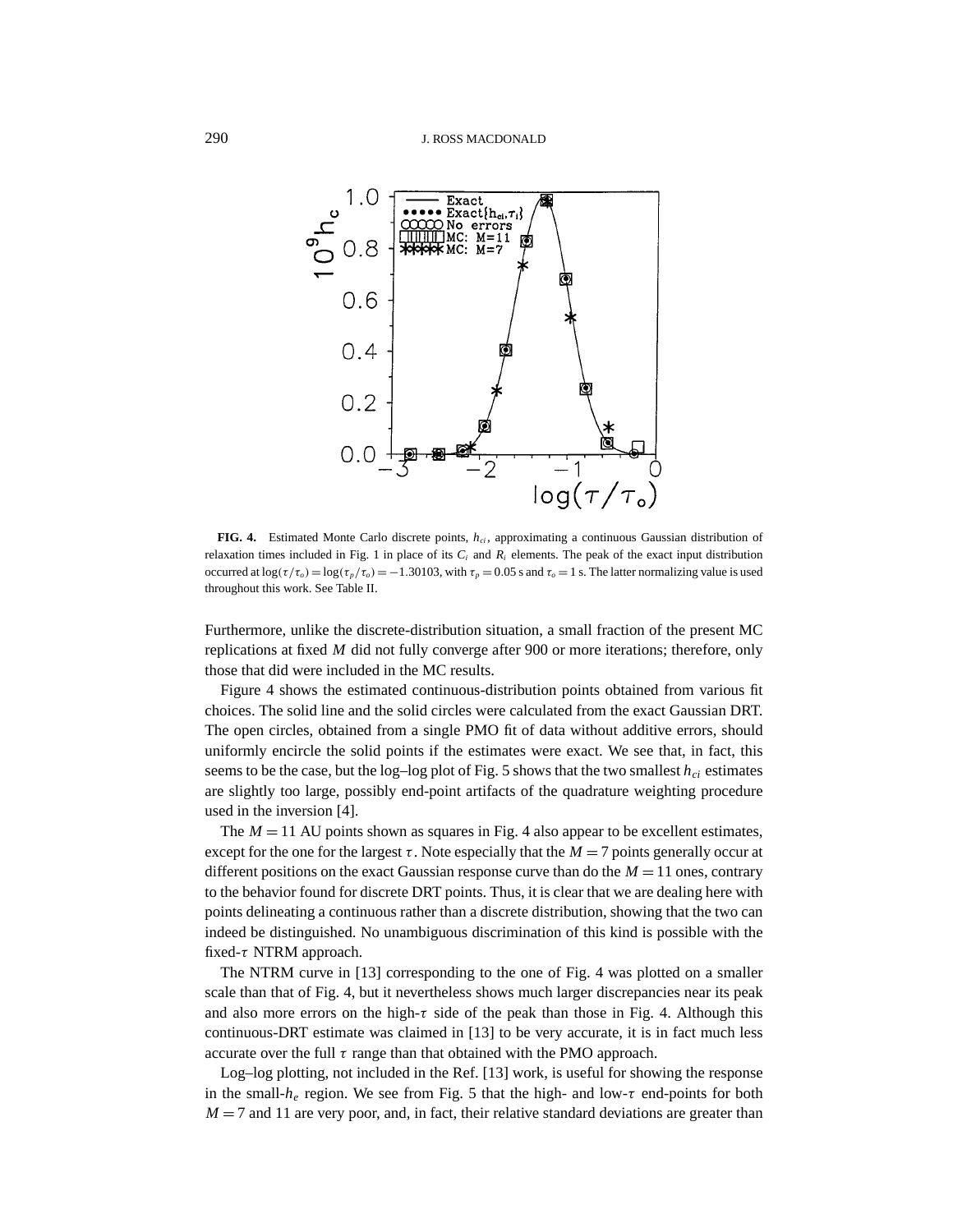

**FIG. 4.** Estimated Monte Carlo discrete points,  $h_{ci}$ , approximating a continuous Gaussian distribution of relaxation times included in Fig. 1 in place of its *Ci* and *Ri* elements. The peak of the exact input distribution occurred at  $log(τ/τ<sub>o</sub>) = log(τ<sub>p</sub>/τ<sub>o</sub>) = -1.30103$ , with  $τ<sub>p</sub> = 0.05$  s and  $τ<sub>o</sub> = 1$  s. The latter normalizing value is used throughout this work. See Table II.

Furthermore, unlike the discrete-distribution situation, a small fraction of the present MC replications at fixed *M* did not fully converge after 900 or more iterations; therefore, only those that did were included in the MC results.

Figure 4 shows the estimated continuous-distribution points obtained from various fit choices. The solid line and the solid circles were calculated from the exact Gaussian DRT. The open circles, obtained from a single PMO fit of data without additive errors, should uniformly encircle the solid points if the estimates were exact. We see that, in fact, this seems to be the case, but the log–log plot of Fig. 5 shows that the two smallest  $h_{ci}$  estimates are slightly too large, possibly end-point artifacts of the quadrature weighting procedure used in the inversion [4].

The  $M = 11$  AU points shown as squares in Fig. 4 also appear to be excellent estimates, except for the one for the largest  $\tau$ . Note especially that the  $M = 7$  points generally occur at different positions on the exact Gaussian response curve than do the  $M = 11$  ones, contrary to the behavior found for discrete DRT points. Thus, it is clear that we are dealing here with points delineating a continuous rather than a discrete distribution, showing that the two can indeed be distinguished. No unambiguous discrimination of this kind is possible with the fixed- $\tau$  NTRM approach.

The NTRM curve in [13] corresponding to the one of Fig. 4 was plotted on a smaller scale than that of Fig. 4, but it nevertheless shows much larger discrepancies near its peak and also more errors on the high- $\tau$  side of the peak than those in Fig. 4. Although this continuous-DRT estimate was claimed in [13] to be very accurate, it is in fact much less accurate over the full  $\tau$  range than that obtained with the PMO approach.

Log–log plotting, not included in the Ref. [13] work, is useful for showing the response in the small- $h_e$  region. We see from Fig. 5 that the high- and low- $\tau$  end-points for both  $M = 7$  and 11 are very poor, and, in fact, their relative standard deviations are greater than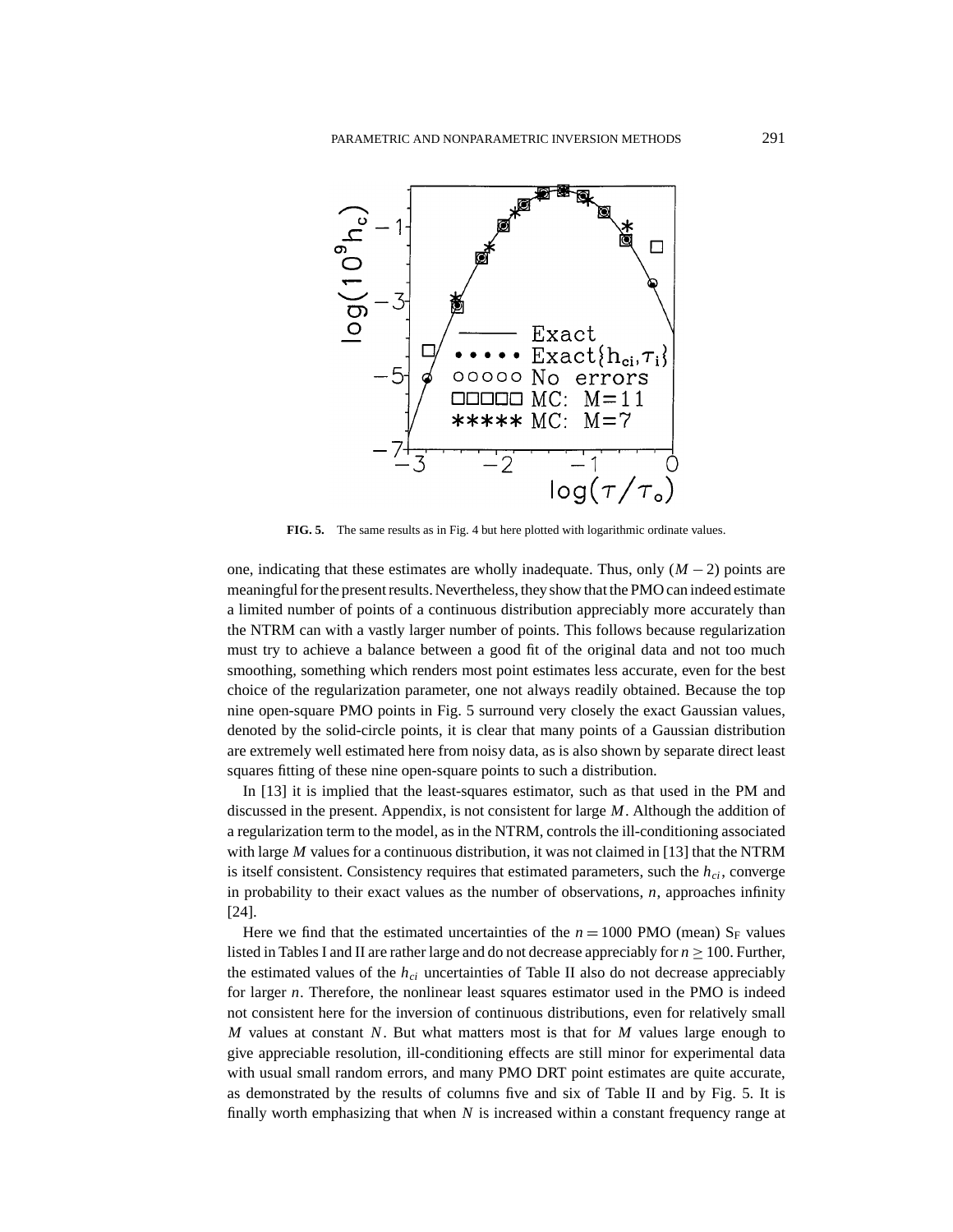

**FIG. 5.** The same results as in Fig. 4 but here plotted with logarithmic ordinate values.

one, indicating that these estimates are wholly inadequate. Thus, only  $(M - 2)$  points are meaningful for the present results. Nevertheless, they show that the PMO can indeed estimate a limited number of points of a continuous distribution appreciably more accurately than the NTRM can with a vastly larger number of points. This follows because regularization must try to achieve a balance between a good fit of the original data and not too much smoothing, something which renders most point estimates less accurate, even for the best choice of the regularization parameter, one not always readily obtained. Because the top nine open-square PMO points in Fig. 5 surround very closely the exact Gaussian values, denoted by the solid-circle points, it is clear that many points of a Gaussian distribution are extremely well estimated here from noisy data, as is also shown by separate direct least squares fitting of these nine open-square points to such a distribution.

In [13] it is implied that the least-squares estimator, such as that used in the PM and discussed in the present. Appendix, is not consistent for large *M*. Although the addition of a regularization term to the model, as in the NTRM, controls the ill-conditioning associated with large *M* values for a continuous distribution, it was not claimed in [13] that the NTRM is itself consistent. Consistency requires that estimated parameters, such the  $h_{ci}$ , converge in probability to their exact values as the number of observations, *n*, approaches infinity [24].

Here we find that the estimated uncertainties of the  $n = 1000$  PMO (mean) S<sub>F</sub> values listed in Tables I and II are rather large and do not decrease appreciably for  $n \geq 100$ . Further, the estimated values of the  $h_{ci}$  uncertainties of Table II also do not decrease appreciably for larger *n*. Therefore, the nonlinear least squares estimator used in the PMO is indeed not consistent here for the inversion of continuous distributions, even for relatively small *M* values at constant *N*. But what matters most is that for *M* values large enough to give appreciable resolution, ill-conditioning effects are still minor for experimental data with usual small random errors, and many PMO DRT point estimates are quite accurate, as demonstrated by the results of columns five and six of Table II and by Fig. 5. It is finally worth emphasizing that when *N* is increased within a constant frequency range at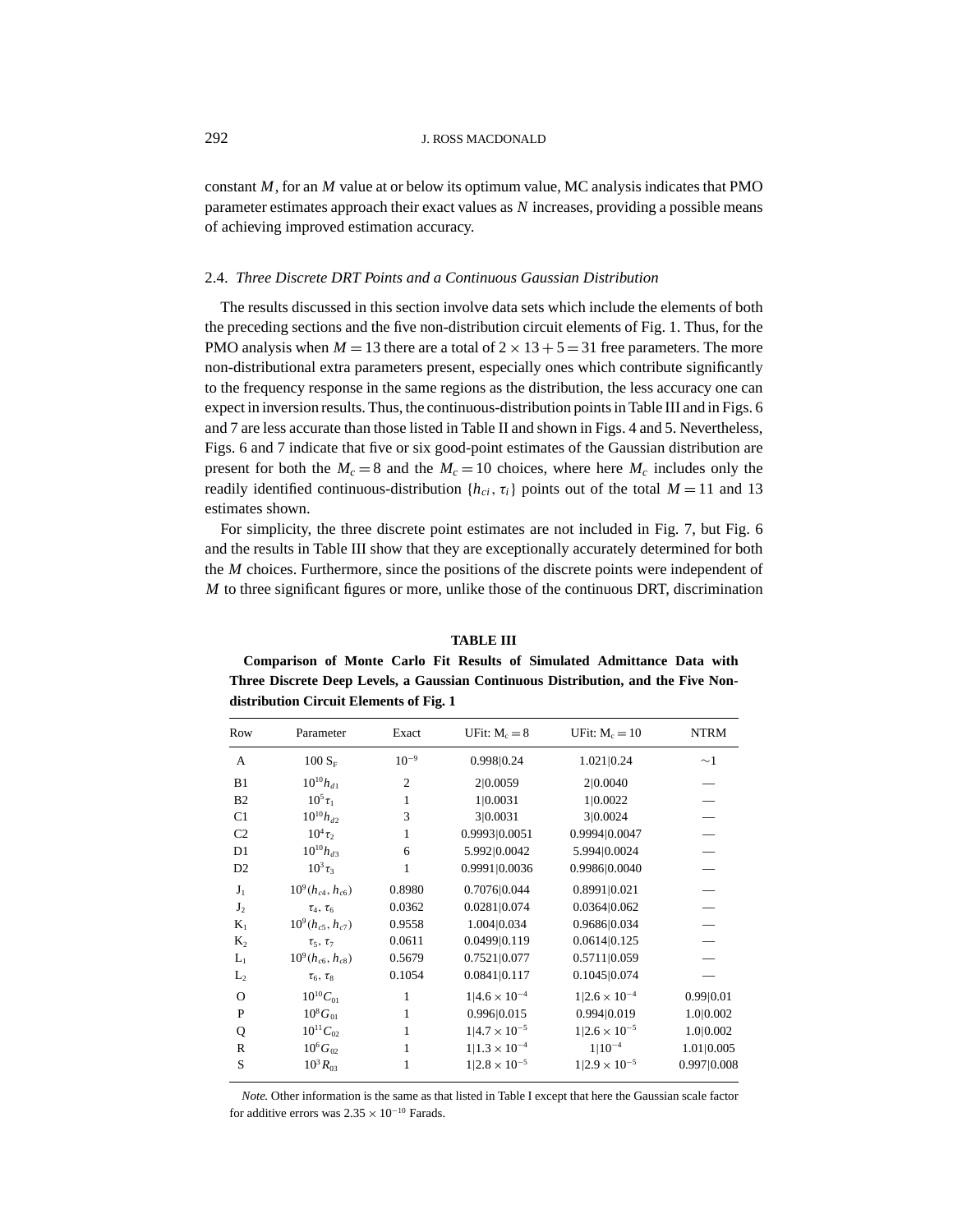constant *M*, for an *M* value at or below its optimum value, MC analysis indicates that PMO parameter estimates approach their exact values as *N* increases, providing a possible means of achieving improved estimation accuracy.

# 2.4. *Three Discrete DRT Points and a Continuous Gaussian Distribution*

The results discussed in this section involve data sets which include the elements of both the preceding sections and the five non-distribution circuit elements of Fig. 1. Thus, for the PMO analysis when  $M = 13$  there are a total of  $2 \times 13 + 5 = 31$  free parameters. The more non-distributional extra parameters present, especially ones which contribute significantly to the frequency response in the same regions as the distribution, the less accuracy one can expect in inversion results. Thus, the continuous-distribution points in Table III and in Figs. 6 and 7 are less accurate than those listed in Table II and shown in Figs. 4 and 5. Nevertheless, Figs. 6 and 7 indicate that five or six good-point estimates of the Gaussian distribution are present for both the  $M_c = 8$  and the  $M_c = 10$  choices, where here  $M_c$  includes only the readily identified continuous-distribution  $\{h_{ci}, \tau_i\}$  points out of the total  $M = 11$  and 13 estimates shown.

For simplicity, the three discrete point estimates are not included in Fig. 7, but Fig. 6 and the results in Table III show that they are exceptionally accurately determined for both the *M* choices. Furthermore, since the positions of the discrete points were independent of *M* to three significant figures or more, unlike those of the continuous DRT, discrimination

**Comparison of Monte Carlo Fit Results of Simulated Admittance Data with Three Discrete Deep Levels, a Gaussian Continuous Distribution, and the Five Nondistribution Circuit Elements of Fig. 1**

| Row            | Parameter              | Exact          | UFit: $M_c = 8$        | UFit: $M_c = 10$       | <b>NTRM</b> |
|----------------|------------------------|----------------|------------------------|------------------------|-------------|
| A              | $100 S_F$              | $10^{-9}$      | 0.998 0.24             | 1.021 0.24             | $\sim$ 1    |
| B1             | $10^{10}h_{d1}$        | $\overline{2}$ | 2 0.0059               | 2 0.0040               |             |
| B <sub>2</sub> | $10^5 \tau_1$          | 1              | 1 0.0031               | 1 0.0022               |             |
| C1             | $10^{10}h_{d2}$        | 3              | 3 0.0031               | 3 0.0024               |             |
| C <sub>2</sub> | $10^4 \tau_2$          | 1              | 0.9993 0.0051          | 0.9994 0.0047          |             |
| D1             | $10^{10}h_{d3}$        | 6              | 5.992 0.0042           | 5.994 0.0024           |             |
| D <sub>2</sub> | $10^3 \tau_3$          | 1              | 0.9991 0.0036          | 0.9986 0.0040          |             |
| $J_1$          | $10^9(h_{c4}, h_{c6})$ | 0.8980         | 0.7076 0.044           | 0.8991 0.021           |             |
| $J_2$          | $\tau_4, \tau_6$       | 0.0362         | 0.0281 0.074           | 0.0364 0.062           |             |
| $K_1$          | $10^9(h_{c5}, h_{c7})$ | 0.9558         | 1.004 0.034            | 0.9686 0.034           |             |
| $K_2$          | $\tau_5$ , $\tau_7$    | 0.0611         | 0.0499 0.119           | 0.0614 0.125           |             |
| $L_1$          | $10^9(h_{c6}, h_{c8})$ | 0.5679         | 0.7521 0.077           | 0.5711 0.059           |             |
| $L_2$          | $\tau_6, \tau_8$       | 0.1054         | 0.0841 0.117           | 0.1045 0.074           |             |
| $\Omega$       | $10^{10}C_{01}$        | 1              | $1 4.6 \times 10^{-4}$ | $1 2.6 \times 10^{-4}$ | 0.99 0.01   |
| P              | $10^8 G_{01}$          | 1              | 0.996 0.015            | 0.994 0.019            | 1.0 0.002   |
| Q              | $10^{11}C_{02}$        | 1              | $1 4.7 \times 10^{-5}$ | $1 2.6 \times 10^{-5}$ | 1.0 0.002   |
| R              | $10^{6}G_{02}$         | 1              | $1 1.3 \times 10^{-4}$ | $1 10^{-4}$            | 1.01 0.005  |
| S              | $10^3 R_{03}$          | 1              | $1 2.8 \times 10^{-5}$ | $1 2.9 \times 10^{-5}$ | 0.997 0.008 |

*Note.* Other information is the same as that listed in Table I except that here the Gaussian scale factor for additive errors was  $2.35 \times 10^{-10}$  Farads.

**TABLE III**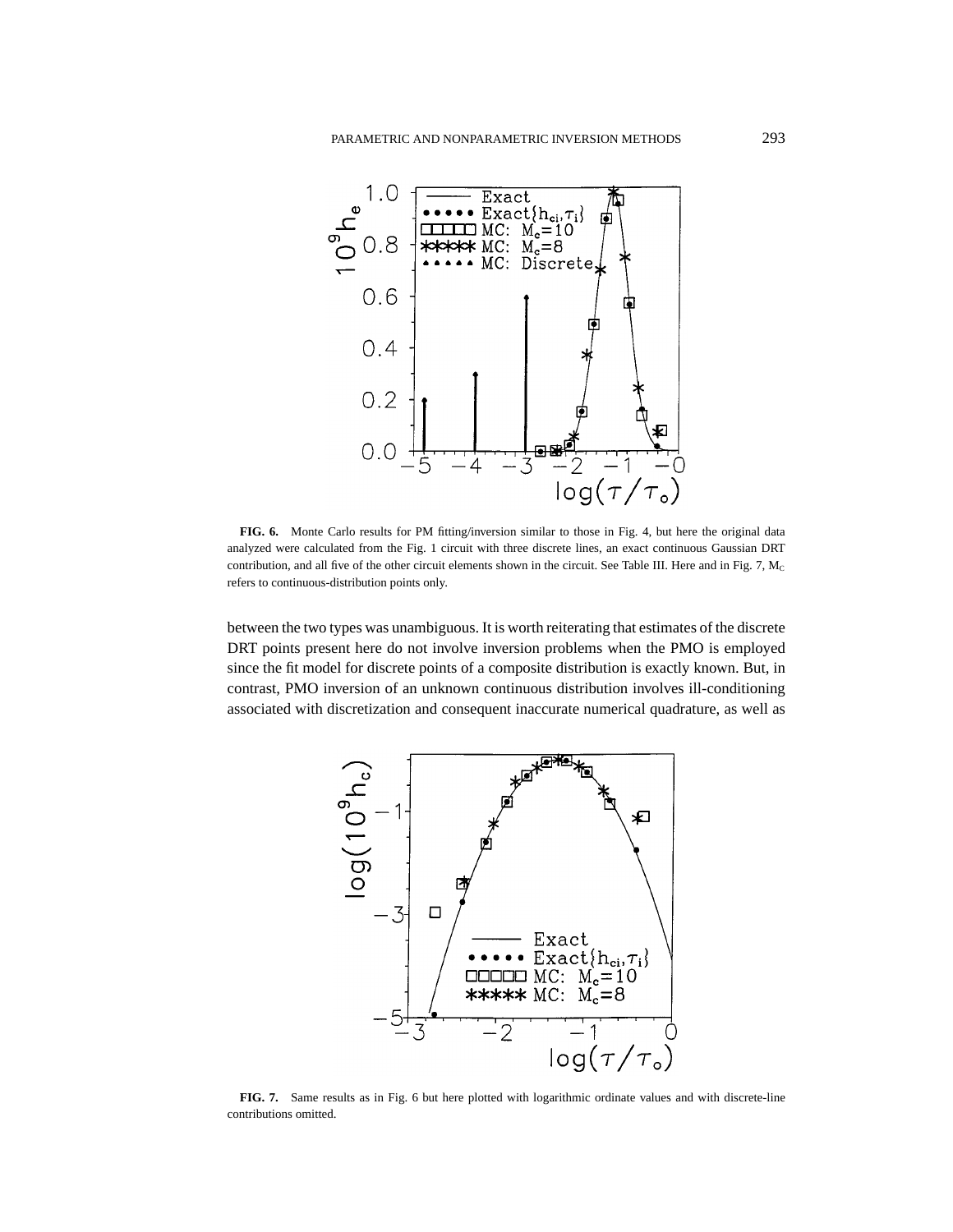

**FIG. 6.** Monte Carlo results for PM fitting/inversion similar to those in Fig. 4, but here the original data analyzed were calculated from the Fig. 1 circuit with three discrete lines, an exact continuous Gaussian DRT contribution, and all five of the other circuit elements shown in the circuit. See Table III. Here and in Fig. 7,  $M_C$ refers to continuous-distribution points only.

between the two types was unambiguous. It is worth reiterating that estimates of the discrete DRT points present here do not involve inversion problems when the PMO is employed since the fit model for discrete points of a composite distribution is exactly known. But, in contrast, PMO inversion of an unknown continuous distribution involves ill-conditioning associated with discretization and consequent inaccurate numerical quadrature, as well as



**FIG. 7.** Same results as in Fig. 6 but here plotted with logarithmic ordinate values and with discrete-line contributions omitted.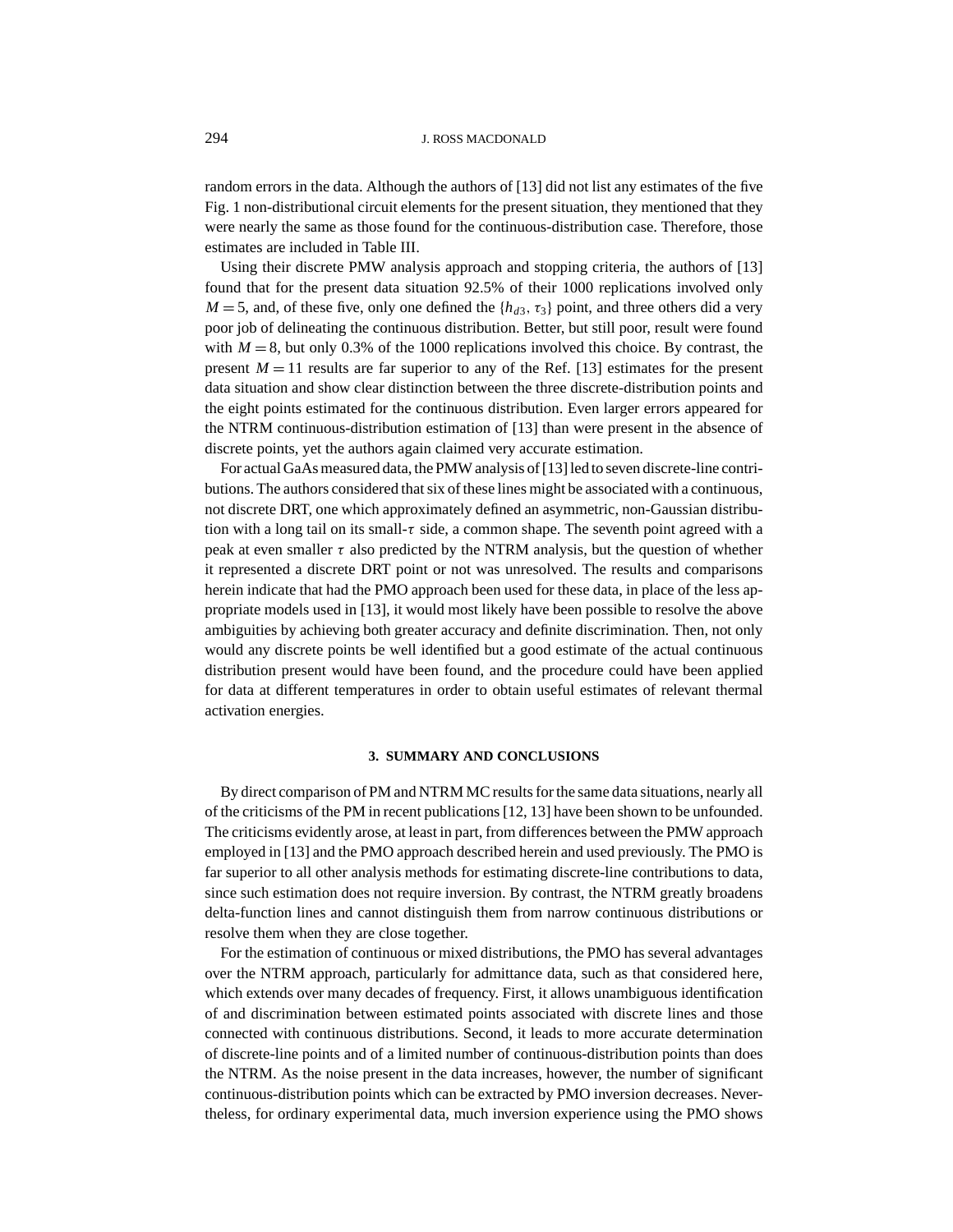random errors in the data. Although the authors of [13] did not list any estimates of the five Fig. 1 non-distributional circuit elements for the present situation, they mentioned that they were nearly the same as those found for the continuous-distribution case. Therefore, those estimates are included in Table III.

Using their discrete PMW analysis approach and stopping criteria, the authors of [13] found that for the present data situation 92.5% of their 1000 replications involved only  $M = 5$ , and, of these five, only one defined the  $\{h_{d3}, \tau_3\}$  point, and three others did a very poor job of delineating the continuous distribution. Better, but still poor, result were found with  $M = 8$ , but only 0.3% of the 1000 replications involved this choice. By contrast, the present  $M = 11$  results are far superior to any of the Ref. [13] estimates for the present data situation and show clear distinction between the three discrete-distribution points and the eight points estimated for the continuous distribution. Even larger errors appeared for the NTRM continuous-distribution estimation of [13] than were present in the absence of discrete points, yet the authors again claimed very accurate estimation.

For actual GaAs measured data, the PMW analysis of [13] led to seven discrete-line contributions. The authors considered that six of these lines might be associated with a continuous, not discrete DRT, one which approximately defined an asymmetric, non-Gaussian distribution with a long tail on its small-τ side, a common shape. The seventh point agreed with a peak at even smaller  $\tau$  also predicted by the NTRM analysis, but the question of whether it represented a discrete DRT point or not was unresolved. The results and comparisons herein indicate that had the PMO approach been used for these data, in place of the less appropriate models used in [13], it would most likely have been possible to resolve the above ambiguities by achieving both greater accuracy and definite discrimination. Then, not only would any discrete points be well identified but a good estimate of the actual continuous distribution present would have been found, and the procedure could have been applied for data at different temperatures in order to obtain useful estimates of relevant thermal activation energies.

## **3. SUMMARY AND CONCLUSIONS**

By direct comparison of PM and NTRM MC results for the same data situations, nearly all of the criticisms of the PM in recent publications [12, 13] have been shown to be unfounded. The criticisms evidently arose, at least in part, from differences between the PMW approach employed in [13] and the PMO approach described herein and used previously. The PMO is far superior to all other analysis methods for estimating discrete-line contributions to data, since such estimation does not require inversion. By contrast, the NTRM greatly broadens delta-function lines and cannot distinguish them from narrow continuous distributions or resolve them when they are close together.

For the estimation of continuous or mixed distributions, the PMO has several advantages over the NTRM approach, particularly for admittance data, such as that considered here, which extends over many decades of frequency. First, it allows unambiguous identification of and discrimination between estimated points associated with discrete lines and those connected with continuous distributions. Second, it leads to more accurate determination of discrete-line points and of a limited number of continuous-distribution points than does the NTRM. As the noise present in the data increases, however, the number of significant continuous-distribution points which can be extracted by PMO inversion decreases. Nevertheless, for ordinary experimental data, much inversion experience using the PMO shows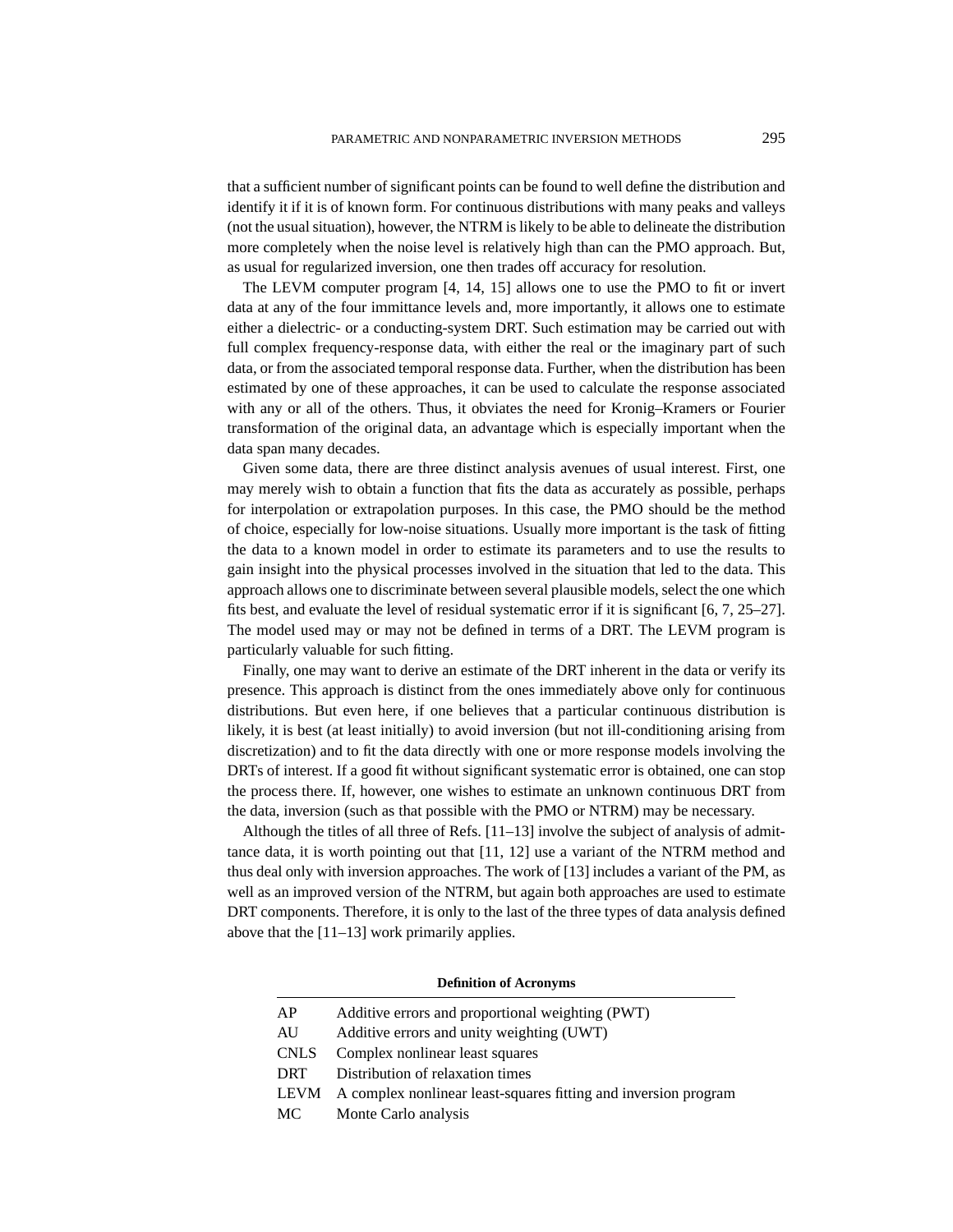that a sufficient number of significant points can be found to well define the distribution and identify it if it is of known form. For continuous distributions with many peaks and valleys (not the usual situation), however, the NTRM is likely to be able to delineate the distribution more completely when the noise level is relatively high than can the PMO approach. But, as usual for regularized inversion, one then trades off accuracy for resolution.

The LEVM computer program [4, 14, 15] allows one to use the PMO to fit or invert data at any of the four immittance levels and, more importantly, it allows one to estimate either a dielectric- or a conducting-system DRT. Such estimation may be carried out with full complex frequency-response data, with either the real or the imaginary part of such data, or from the associated temporal response data. Further, when the distribution has been estimated by one of these approaches, it can be used to calculate the response associated with any or all of the others. Thus, it obviates the need for Kronig–Kramers or Fourier transformation of the original data, an advantage which is especially important when the data span many decades.

Given some data, there are three distinct analysis avenues of usual interest. First, one may merely wish to obtain a function that fits the data as accurately as possible, perhaps for interpolation or extrapolation purposes. In this case, the PMO should be the method of choice, especially for low-noise situations. Usually more important is the task of fitting the data to a known model in order to estimate its parameters and to use the results to gain insight into the physical processes involved in the situation that led to the data. This approach allows one to discriminate between several plausible models, select the one which fits best, and evaluate the level of residual systematic error if it is significant [6, 7, 25–27]. The model used may or may not be defined in terms of a DRT. The LEVM program is particularly valuable for such fitting.

Finally, one may want to derive an estimate of the DRT inherent in the data or verify its presence. This approach is distinct from the ones immediately above only for continuous distributions. But even here, if one believes that a particular continuous distribution is likely, it is best (at least initially) to avoid inversion (but not ill-conditioning arising from discretization) and to fit the data directly with one or more response models involving the DRTs of interest. If a good fit without significant systematic error is obtained, one can stop the process there. If, however, one wishes to estimate an unknown continuous DRT from the data, inversion (such as that possible with the PMO or NTRM) may be necessary.

Although the titles of all three of Refs.  $[11-13]$  involve the subject of analysis of admittance data, it is worth pointing out that [11, 12] use a variant of the NTRM method and thus deal only with inversion approaches. The work of [13] includes a variant of the PM, as well as an improved version of the NTRM, but again both approaches are used to estimate DRT components. Therefore, it is only to the last of the three types of data analysis defined above that the [11–13] work primarily applies.

**Definition of Acronyms**

| Additive errors and proportional weighting (PWT)                |
|-----------------------------------------------------------------|
|                                                                 |
|                                                                 |
|                                                                 |
| A complex nonlinear least-squares fitting and inversion program |
|                                                                 |
|                                                                 |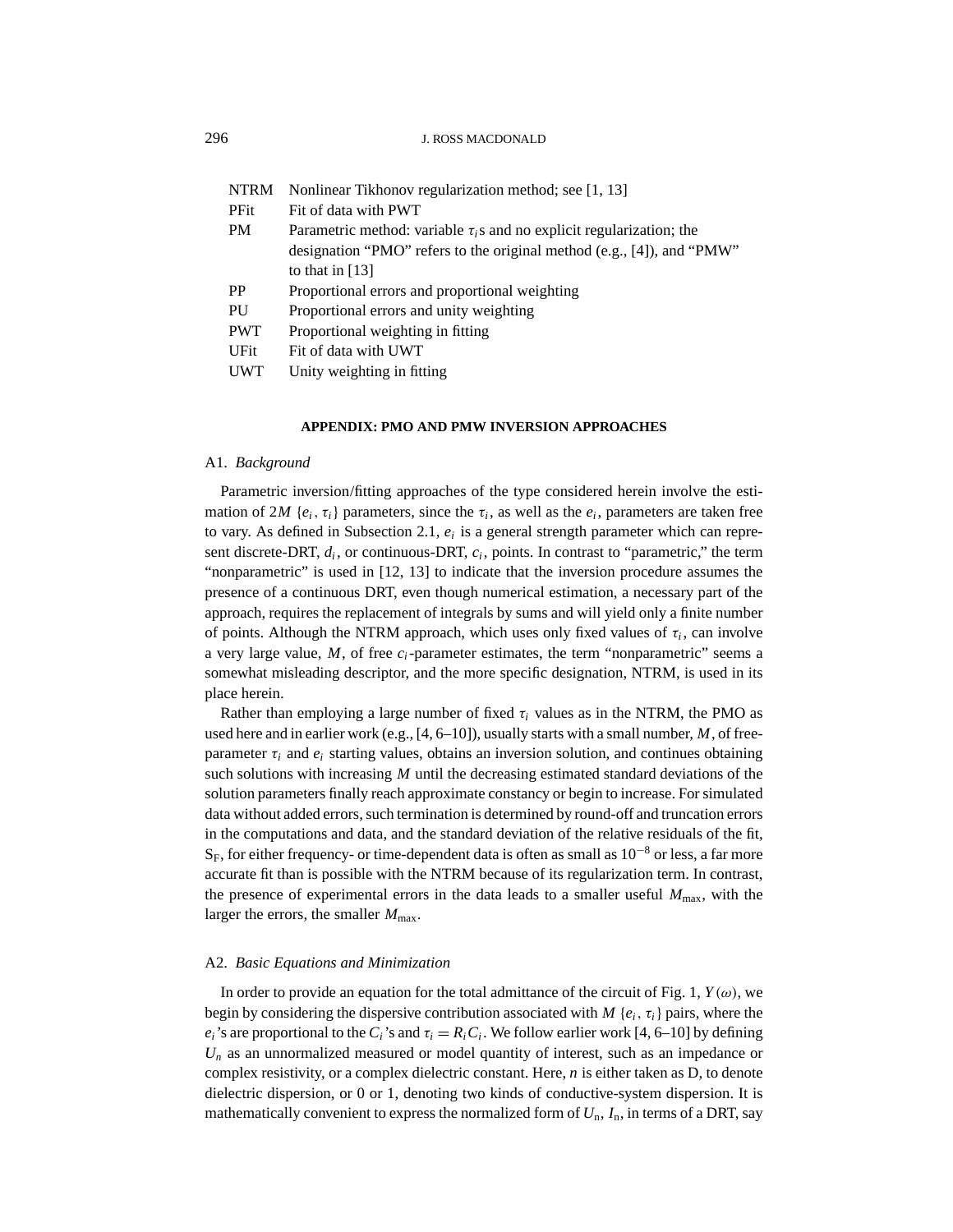| NTRM       | Nonlinear Tikhonov regularization method; see [1, 13]                      |
|------------|----------------------------------------------------------------------------|
| PFit       | Fit of data with PWT                                                       |
| PM         | Parametric method: variable $\tau_i$ s and no explicit regularization; the |
|            | designation "PMO" refers to the original method (e.g., $[4]$ ), and "PMW"  |
|            | to that in $[13]$                                                          |
| PP         | Proportional errors and proportional weighting                             |
| PU         | Proportional errors and unity weighting                                    |
| <b>PWT</b> | Proportional weighting in fitting                                          |
| UFit       | Fit of data with UWT                                                       |
| <b>UWT</b> | Unity weighting in fitting                                                 |

## **APPENDIX: PMO AND PMW INVERSION APPROACHES**

## A1. *Background*

Parametric inversion/fitting approaches of the type considered herein involve the estimation of 2*M* { $e_i$ ,  $\tau_i$ } parameters, since the  $\tau_i$ , as well as the  $e_i$ , parameters are taken free to vary. As defined in Subsection 2.1, *ei* is a general strength parameter which can represent discrete-DRT,  $d_i$ , or continuous-DRT,  $c_i$ , points. In contrast to "parametric," the term "nonparametric" is used in [12, 13] to indicate that the inversion procedure assumes the presence of a continuous DRT, even though numerical estimation, a necessary part of the approach, requires the replacement of integrals by sums and will yield only a finite number of points. Although the NTRM approach, which uses only fixed values of  $\tau_i$ , can involve a very large value,  $M$ , of free  $c_i$ -parameter estimates, the term "nonparametric" seems a somewhat misleading descriptor, and the more specific designation, NTRM, is used in its place herein.

Rather than employing a large number of fixed  $\tau_i$  values as in the NTRM, the PMO as used here and in earlier work (e.g., [4, 6–10]), usually starts with a small number, *M*, of freeparameter  $\tau_i$  and  $e_i$  starting values, obtains an inversion solution, and continues obtaining such solutions with increasing *M* until the decreasing estimated standard deviations of the solution parameters finally reach approximate constancy or begin to increase. For simulated data without added errors, such termination is determined by round-off and truncation errors in the computations and data, and the standard deviation of the relative residuals of the fit,  $S_F$ , for either frequency- or time-dependent data is often as small as  $10^{-8}$  or less, a far more accurate fit than is possible with the NTRM because of its regularization term. In contrast, the presence of experimental errors in the data leads to a smaller useful  $M_{\text{max}}$ , with the larger the errors, the smaller  $M_{\text{max}}$ .

#### A2. *Basic Equations and Minimization*

In order to provide an equation for the total admittance of the circuit of Fig. 1,  $Y(\omega)$ , we begin by considering the dispersive contribution associated with *M* { $e_i$ ,  $\tau_i$ } pairs, where the *e<sub>i</sub>*'s are proportional to the *C<sub>i</sub>*'s and  $\tau$ <sub>*i*</sub> = *R<sub>i</sub>C<sub>i</sub>*. We follow earlier work [4, 6–10] by defining *Un* as an unnormalized measured or model quantity of interest, such as an impedance or complex resistivity, or a complex dielectric constant. Here, *n* is either taken as D, to denote dielectric dispersion, or 0 or 1, denoting two kinds of conductive-system dispersion. It is mathematically convenient to express the normalized form of  $U_n$ ,  $I_n$ , in terms of a DRT, say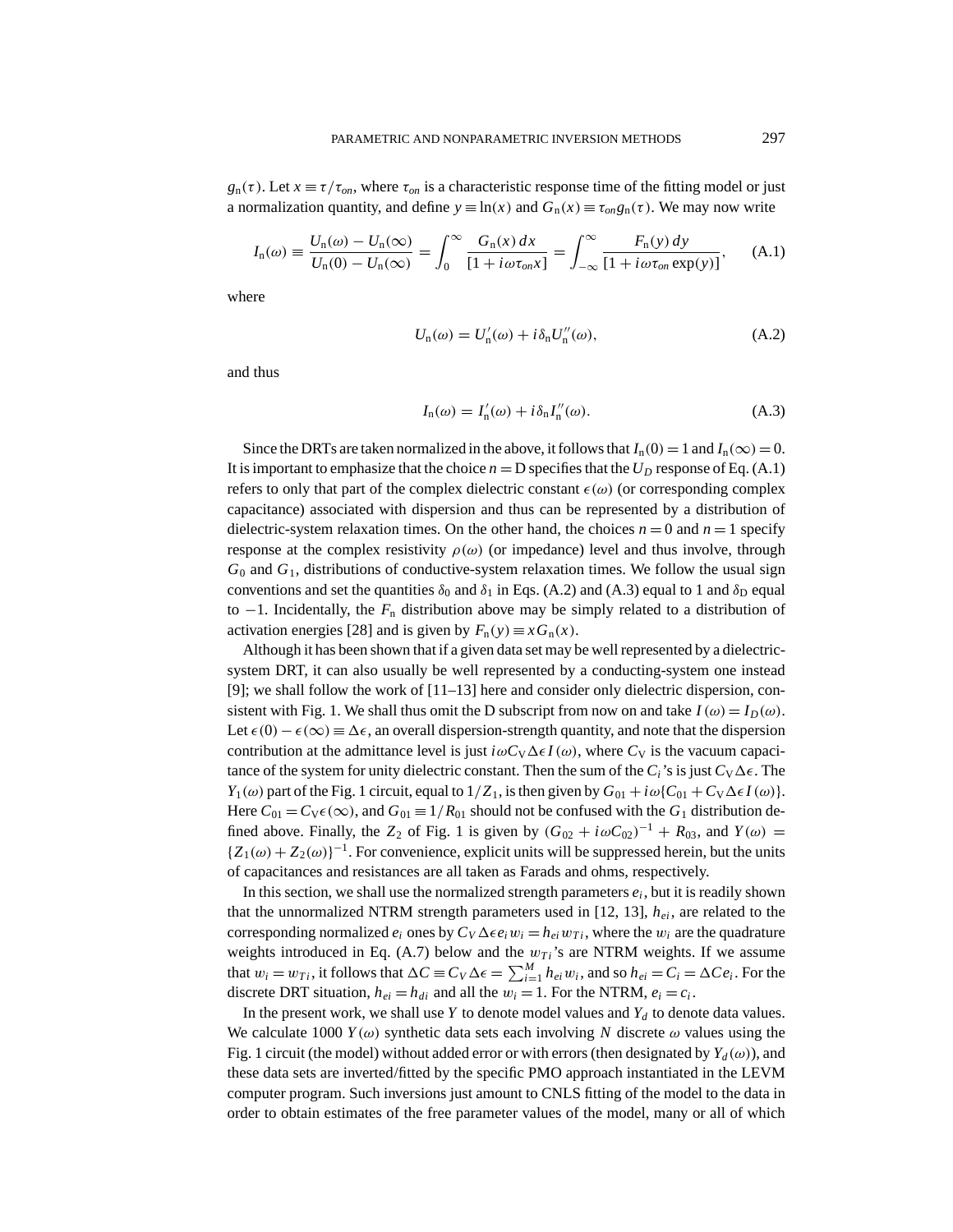$g_n(\tau)$ . Let  $x \equiv \tau/\tau_{on}$ , where  $\tau_{on}$  is a characteristic response time of the fitting model or just a normalization quantity, and define  $y \equiv \ln(x)$  and  $G_n(x) \equiv \tau_{on} g_n(\tau)$ . We may now write

$$
I_n(\omega) \equiv \frac{U_n(\omega) - U_n(\infty)}{U_n(0) - U_n(\infty)} = \int_0^\infty \frac{G_n(x) dx}{[1 + i\omega \tau_{on} x]} = \int_{-\infty}^\infty \frac{F_n(y) dy}{[1 + i\omega \tau_{on} \exp(y)]}, \quad (A.1)
$$

where

$$
U_{n}(\omega) = U'_{n}(\omega) + i\delta_{n}U''_{n}(\omega), \qquad (A.2)
$$

and thus

$$
I_n(\omega) = I'_n(\omega) + i \delta_n I''_n(\omega).
$$
 (A.3)

Since the DRTs are taken normalized in the above, it follows that  $I_n(0) = 1$  and  $I_n(\infty) = 0$ . It is important to emphasize that the choice  $n = D$  specifies that the  $U_D$  response of Eq. (A.1) refers to only that part of the complex dielectric constant  $\epsilon(\omega)$  (or corresponding complex capacitance) associated with dispersion and thus can be represented by a distribution of dielectric-system relaxation times. On the other hand, the choices  $n = 0$  and  $n = 1$  specify response at the complex resistivity  $\rho(\omega)$  (or impedance) level and thus involve, through  $G_0$  and  $G_1$ , distributions of conductive-system relaxation times. We follow the usual sign conventions and set the quantities  $\delta_0$  and  $\delta_1$  in Eqs. (A.2) and (A.3) equal to 1 and  $\delta_D$  equal to  $-1$ . Incidentally, the  $F_n$  distribution above may be simply related to a distribution of activation energies [28] and is given by  $F_n(y) \equiv x G_n(x)$ .

Although it has been shown that if a given data set may be well represented by a dielectricsystem DRT, it can also usually be well represented by a conducting-system one instead [9]; we shall follow the work of [11–13] here and consider only dielectric dispersion, consistent with Fig. 1. We shall thus omit the D subscript from now on and take  $I(\omega) = I_D(\omega)$ . Let  $\epsilon(0) - \epsilon(\infty) \equiv \Delta \epsilon$ , an overall dispersion-strength quantity, and note that the dispersion contribution at the admittance level is just  $i\omega C_V\Delta \epsilon I(\omega)$ , where  $C_V$  is the vacuum capacitance of the system for unity dielectric constant. Then the sum of the  $C_i$ 's is just  $C_V\Delta\epsilon$ . The  $Y_1(\omega)$  part of the Fig. 1 circuit, equal to  $1/Z_1$ , is then given by  $G_{01} + i\omega$   $C_{01} + C_V\Delta\epsilon I(\omega)$ . Here  $C_{01} = C_V \epsilon(\infty)$ , and  $G_{01} \equiv 1/R_{01}$  should not be confused with the  $G_1$  distribution defined above. Finally, the  $Z_2$  of Fig. 1 is given by  $(G_{02} + i\omega C_{02})^{-1} + R_{03}$ , and  $Y(\omega) =$  ${Z_1(\omega) + Z_2(\omega)}^{-1}$ . For convenience, explicit units will be suppressed herein, but the units of capacitances and resistances are all taken as Farads and ohms, respectively.

In this section, we shall use the normalized strength parameters  $e_i$ , but it is readily shown that the unnormalized NTRM strength parameters used in [12, 13],  $h_{ei}$ , are related to the corresponding normalized  $e_i$  ones by  $C_V \Delta \epsilon e_i w_i = h_{ei} w_{Ti}$ , where the  $w_i$  are the quadrature weights introduced in Eq.  $(A.7)$  below and the  $w_{Ti}$ 's are NTRM weights. If we assume that  $w_i = w_{Ti}$ , it follows that  $\Delta C \equiv C_V \Delta \epsilon = \sum_{i=1}^{M} h_{ei} w_i$ , and so  $h_{ei} = C_i = \Delta C e_i$ . For the discrete DRT situation,  $h_{ei} = h_{di}$  and all the  $w_i = 1$ . For the NTRM,  $e_i = c_i$ .

In the present work, we shall use  $Y$  to denote model values and  $Y_d$  to denote data values. We calculate 1000  $Y(\omega)$  synthetic data sets each involving N discrete  $\omega$  values using the Fig. 1 circuit (the model) without added error or with errors (then designated by  $Y_d(\omega)$ ), and these data sets are inverted/fitted by the specific PMO approach instantiated in the LEVM computer program. Such inversions just amount to CNLS fitting of the model to the data in order to obtain estimates of the free parameter values of the model, many or all of which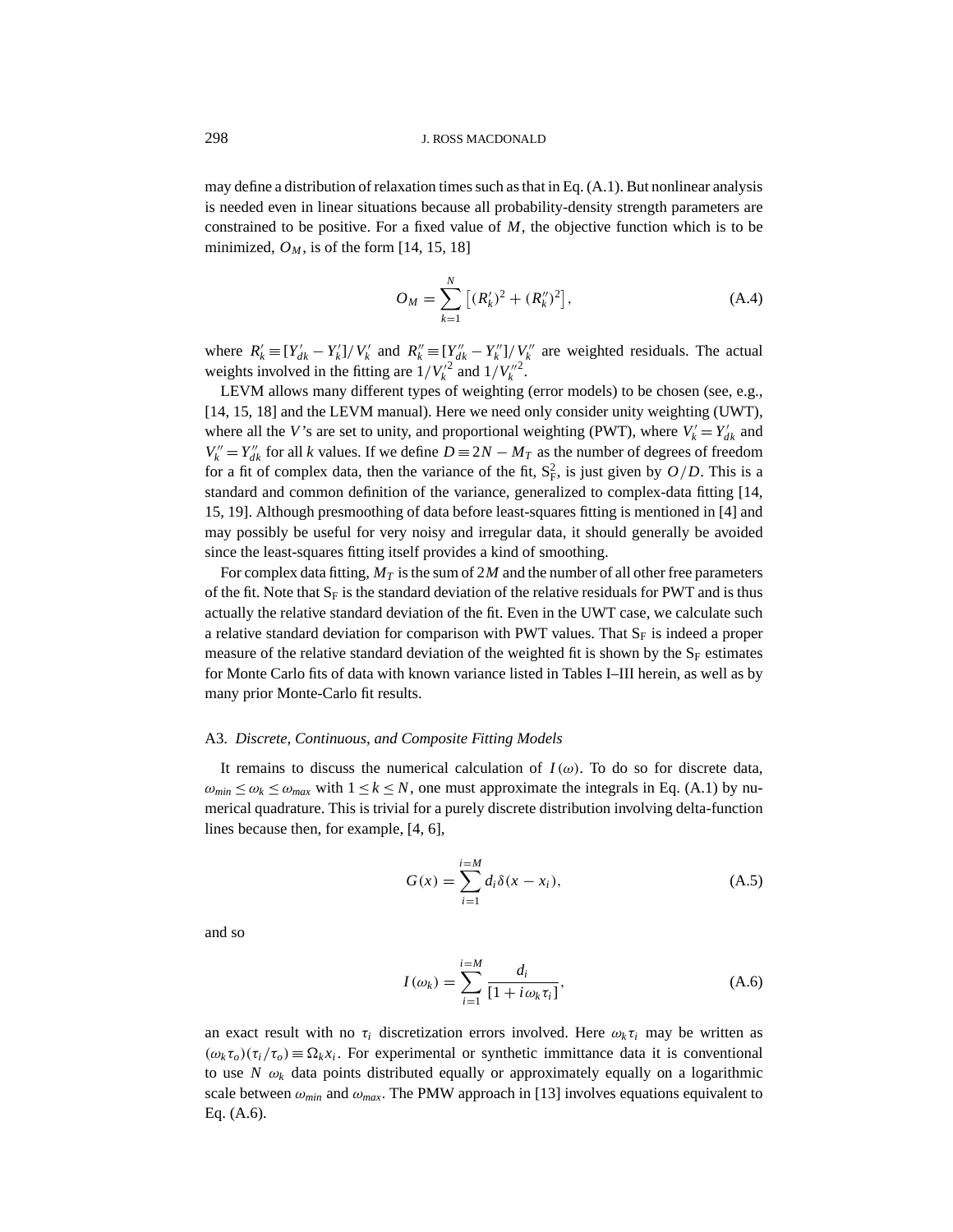may define a distribution of relaxation times such as that in Eq. (A.1). But nonlinear analysis is needed even in linear situations because all probability-density strength parameters are constrained to be positive. For a fixed value of *M*, the objective function which is to be minimized,  $O_M$ , is of the form [14, 15, 18]

$$
O_M = \sum_{k=1}^{N} \left[ (R'_k)^2 + (R''_k)^2 \right],
$$
 (A.4)

where  $R'_k \equiv [Y'_{dk} - Y'_k]/V'_k$  and  $R''_k \equiv [Y''_{dk} - Y''_k]/V''_k$  are weighted residuals. The actual weights involved in the fitting are  $1/V_k^2$  and  $1/V_k^2$ .

LEVM allows many different types of weighting (error models) to be chosen (see, e.g., [14, 15, 18] and the LEVM manual). Here we need only consider unity weighting (UWT), where all the *V*'s are set to unity, and proportional weighting (PWT), where  $V'_k = Y'_{dk}$  and  $V_k'' = Y_{dk}''$  for all *k* values. If we define  $D = 2N - M_T$  as the number of degrees of freedom for a fit of complex data, then the variance of the fit,  $S_F^2$ , is just given by  $O/D$ . This is a standard and common definition of the variance, generalized to complex-data fitting [14, 15, 19]. Although presmoothing of data before least-squares fitting is mentioned in [4] and may possibly be useful for very noisy and irregular data, it should generally be avoided since the least-squares fitting itself provides a kind of smoothing.

For complex data fitting,  $M_T$  is the sum of 2*M* and the number of all other free parameters of the fit. Note that  $S_F$  is the standard deviation of the relative residuals for PWT and is thus actually the relative standard deviation of the fit. Even in the UWT case, we calculate such a relative standard deviation for comparison with PWT values. That  $S_F$  is indeed a proper measure of the relative standard deviation of the weighted fit is shown by the  $S_F$  estimates for Monte Carlo fits of data with known variance listed in Tables I–III herein, as well as by many prior Monte-Carlo fit results.

## A3. *Discrete, Continuous, and Composite Fitting Models*

It remains to discuss the numerical calculation of  $I(\omega)$ . To do so for discrete data,  $\omega_{min} \leq \omega_k \leq \omega_{max}$  with  $1 \leq k \leq N$ , one must approximate the integrals in Eq. (A.1) by numerical quadrature. This is trivial for a purely discrete distribution involving delta-function lines because then, for example, [4, 6],

$$
G(x) = \sum_{i=1}^{i=M} d_i \delta(x - x_i),
$$
\n(A.5)

and so

$$
I(\omega_k) = \sum_{i=1}^{i=M} \frac{d_i}{[1 + i\omega_k \tau_i]},
$$
\n(A.6)

an exact result with no  $\tau_i$  discretization errors involved. Here  $\omega_k \tau_i$  may be written as  $(\omega_k \tau_o)(\tau_i/\tau_o) \equiv \Omega_k x_i$ . For experimental or synthetic immittance data it is conventional to use *N*  $\omega_k$  data points distributed equally or approximately equally on a logarithmic scale between  $\omega_{min}$  and  $\omega_{max}$ . The PMW approach in [13] involves equations equivalent to Eq. (A.6).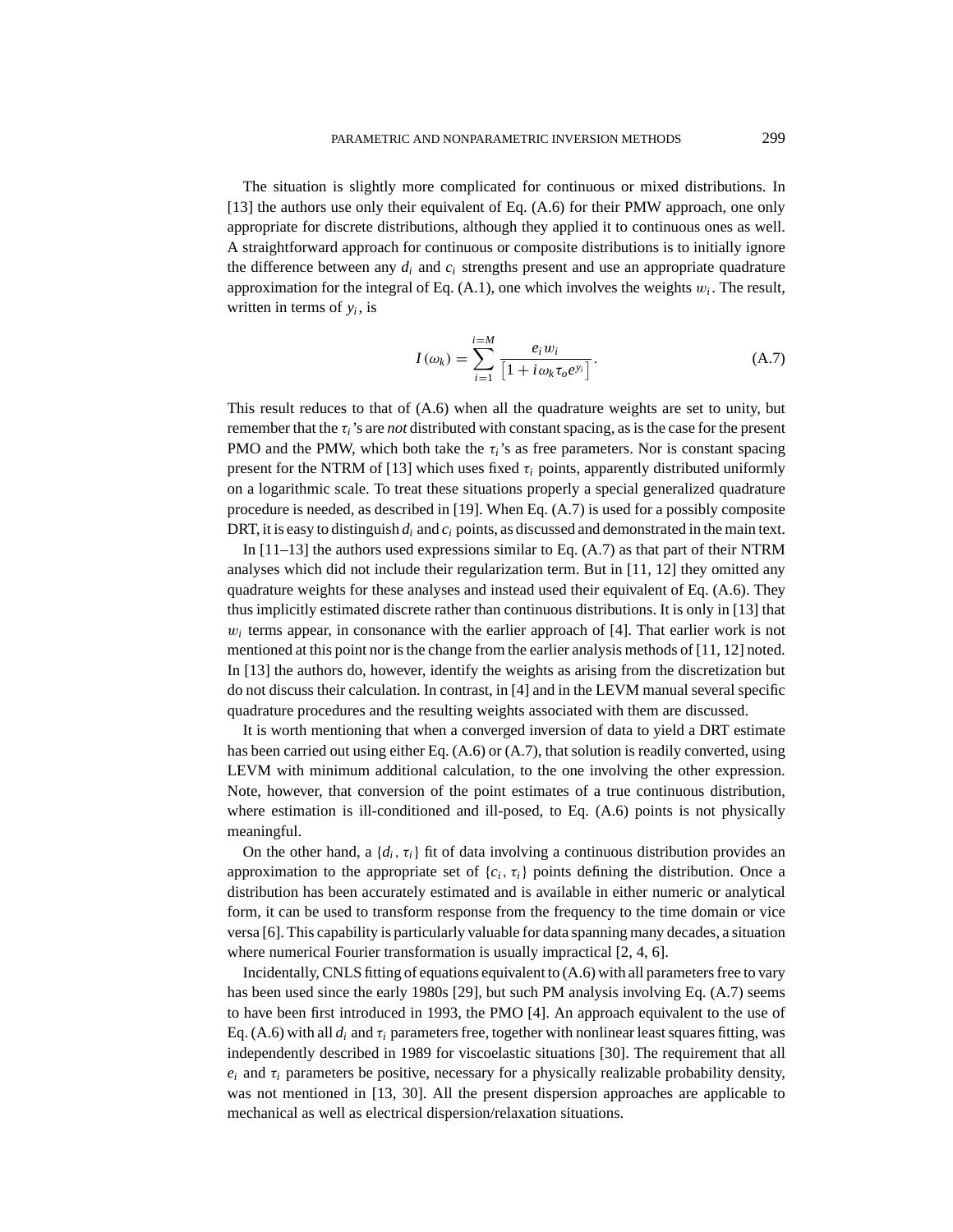The situation is slightly more complicated for continuous or mixed distributions. In [13] the authors use only their equivalent of Eq. (A.6) for their PMW approach, one only appropriate for discrete distributions, although they applied it to continuous ones as well. A straightforward approach for continuous or composite distributions is to initially ignore the difference between any *di* and *ci* strengths present and use an appropriate quadrature approximation for the integral of Eq.  $(A.1)$ , one which involves the weights  $w_i$ . The result, written in terms of  $y_i$ , is

$$
I(\omega_k) = \sum_{i=1}^{i=M} \frac{e_i w_i}{\left[1 + i \omega_k \tau_o e^{y_i}\right]}.
$$
\n(A.7)

This result reduces to that of (A.6) when all the quadrature weights are set to unity, but remember that the τ*i*'s are *not* distributed with constant spacing, as is the case for the present PMO and the PMW, which both take the  $\tau_i$ 's as free parameters. Nor is constant spacing present for the NTRM of [13] which uses fixed τ*<sup>i</sup>* points, apparently distributed uniformly on a logarithmic scale. To treat these situations properly a special generalized quadrature procedure is needed, as described in [19]. When Eq. (A.7) is used for a possibly composite DRT, it is easy to distinguish *di* and *ci* points, as discussed and demonstrated in the main text.

In  $[11–13]$  the authors used expressions similar to Eq.  $(A.7)$  as that part of their NTRM analyses which did not include their regularization term. But in [11, 12] they omitted any quadrature weights for these analyses and instead used their equivalent of Eq. (A.6). They thus implicitly estimated discrete rather than continuous distributions. It is only in [13] that  $w_i$  terms appear, in consonance with the earlier approach of [4]. That earlier work is not mentioned at this point nor is the change from the earlier analysis methods of [11, 12] noted. In [13] the authors do, however, identify the weights as arising from the discretization but do not discuss their calculation. In contrast, in [4] and in the LEVM manual several specific quadrature procedures and the resulting weights associated with them are discussed.

It is worth mentioning that when a converged inversion of data to yield a DRT estimate has been carried out using either Eq. (A.6) or (A.7), that solution is readily converted, using LEVM with minimum additional calculation, to the one involving the other expression. Note, however, that conversion of the point estimates of a true continuous distribution, where estimation is ill-conditioned and ill-posed, to Eq.  $(A.6)$  points is not physically meaningful.

On the other hand, a  $\{d_i, \tau_i\}$  fit of data involving a continuous distribution provides an approximation to the appropriate set of  ${c_i, \tau_i}$  points defining the distribution. Once a distribution has been accurately estimated and is available in either numeric or analytical form, it can be used to transform response from the frequency to the time domain or vice versa [6]. This capability is particularly valuable for data spanning many decades, a situation where numerical Fourier transformation is usually impractical [2, 4, 6].

Incidentally, CNLS fitting of equations equivalent to (A.6) with all parameters free to vary has been used since the early 1980s [29], but such PM analysis involving Eq. (A.7) seems to have been first introduced in 1993, the PMO [4]. An approach equivalent to the use of Eq. (A.6) with all  $d_i$  and  $\tau_i$  parameters free, together with nonlinear least squares fitting, was independently described in 1989 for viscoelastic situations [30]. The requirement that all  $e_i$  and  $\tau_i$  parameters be positive, necessary for a physically realizable probability density, was not mentioned in [13, 30]. All the present dispersion approaches are applicable to mechanical as well as electrical dispersion/relaxation situations.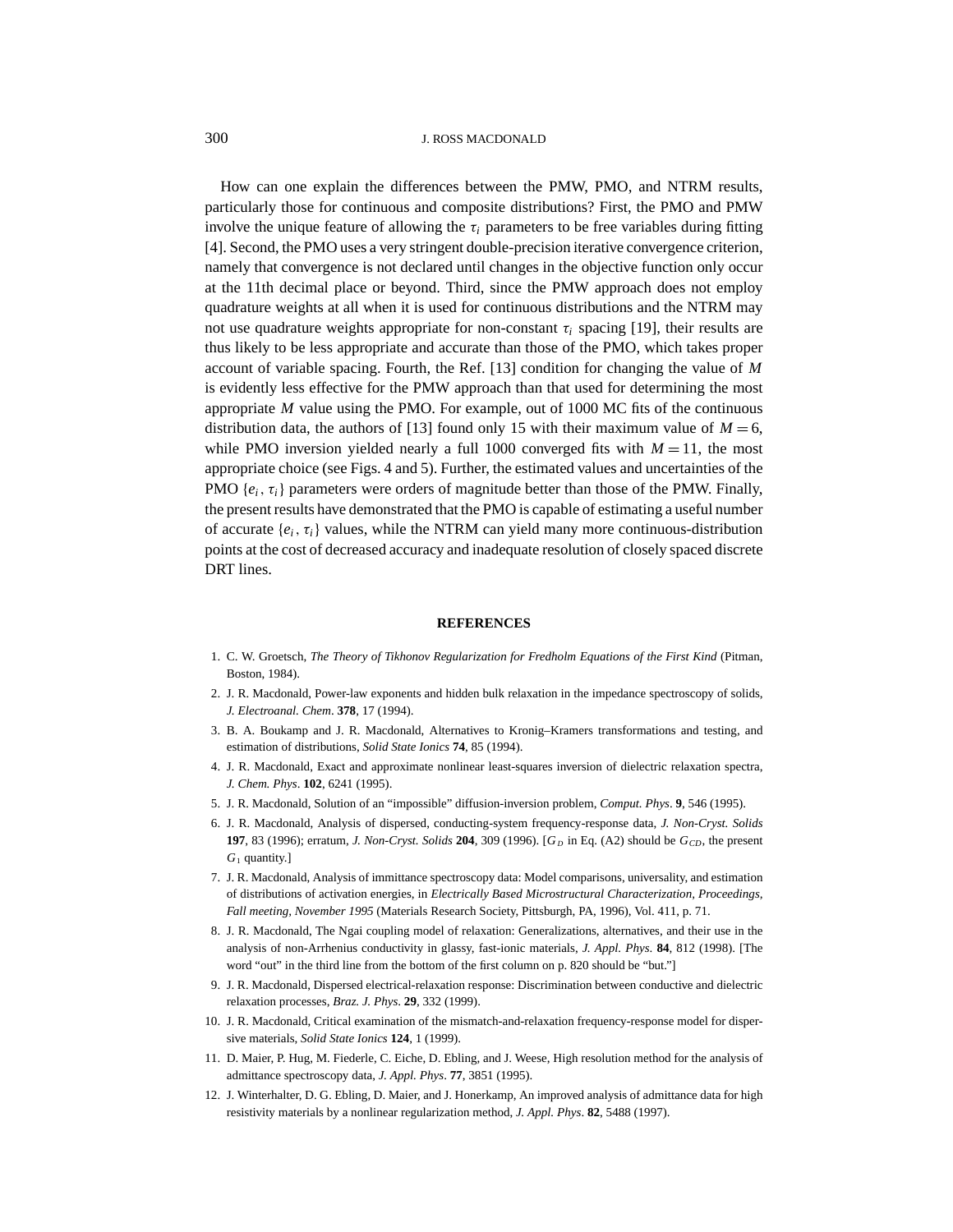How can one explain the differences between the PMW, PMO, and NTRM results, particularly those for continuous and composite distributions? First, the PMO and PMW involve the unique feature of allowing the  $\tau_i$  parameters to be free variables during fitting [4]. Second, the PMO uses a very stringent double-precision iterative convergence criterion, namely that convergence is not declared until changes in the objective function only occur at the 11th decimal place or beyond. Third, since the PMW approach does not employ quadrature weights at all when it is used for continuous distributions and the NTRM may not use quadrature weights appropriate for non-constant  $\tau_i$  spacing [19], their results are thus likely to be less appropriate and accurate than those of the PMO, which takes proper account of variable spacing. Fourth, the Ref. [13] condition for changing the value of *M* is evidently less effective for the PMW approach than that used for determining the most appropriate *M* value using the PMO. For example, out of 1000 MC fits of the continuous distribution data, the authors of [13] found only 15 with their maximum value of  $M = 6$ , while PMO inversion yielded nearly a full 1000 converged fits with  $M = 11$ , the most appropriate choice (see Figs. 4 and 5). Further, the estimated values and uncertainties of the PMO  $\{e_i, \tau_i\}$  parameters were orders of magnitude better than those of the PMW. Finally, the present results have demonstrated that the PMO is capable of estimating a useful number of accurate  $\{e_i, \tau_i\}$  values, while the NTRM can yield many more continuous-distribution points at the cost of decreased accuracy and inadequate resolution of closely spaced discrete DRT lines.

#### **REFERENCES**

- 1. C. W. Groetsch, *The Theory of Tikhonov Regularization for Fredholm Equations of the First Kind* (Pitman, Boston, 1984).
- 2. J. R. Macdonald, Power-law exponents and hidden bulk relaxation in the impedance spectroscopy of solids, *J. Electroanal. Chem*. **378**, 17 (1994).
- 3. B. A. Boukamp and J. R. Macdonald, Alternatives to Kronig–Kramers transformations and testing, and estimation of distributions, *Solid State Ionics* **74**, 85 (1994).
- 4. J. R. Macdonald, Exact and approximate nonlinear least-squares inversion of dielectric relaxation spectra, *J. Chem. Phys*. **102**, 6241 (1995).
- 5. J. R. Macdonald, Solution of an "impossible" diffusion-inversion problem, *Comput. Phys*. **9**, 546 (1995).
- 6. J. R. Macdonald, Analysis of dispersed, conducting-system frequency-response data, *J. Non-Cryst. Solids* **197**, 83 (1996); erratum, *J. Non-Cryst. Solids* **204**, 309 (1996). [ $G_D$  in Eq. (A2) should be  $G_{CD}$ , the present *G*<sup>1</sup> quantity.]
- 7. J. R. Macdonald, Analysis of immittance spectroscopy data: Model comparisons, universality, and estimation of distributions of activation energies, in *Electrically Based Microstructural Characterization, Proceedings, Fall meeting, November 1995* (Materials Research Society, Pittsburgh, PA, 1996), Vol. 411, p. 71.
- 8. J. R. Macdonald, The Ngai coupling model of relaxation: Generalizations, alternatives, and their use in the analysis of non-Arrhenius conductivity in glassy, fast-ionic materials, *J. Appl. Phys*. **84**, 812 (1998). [The word "out" in the third line from the bottom of the first column on p. 820 should be "but."]
- 9. J. R. Macdonald, Dispersed electrical-relaxation response: Discrimination between conductive and dielectric relaxation processes, *Braz. J. Phys*. **29**, 332 (1999).
- 10. J. R. Macdonald, Critical examination of the mismatch-and-relaxation frequency-response model for dispersive materials, *Solid State Ionics* **124**, 1 (1999).
- 11. D. Maier, P. Hug, M. Fiederle, C. Eiche, D. Ebling, and J. Weese, High resolution method for the analysis of admittance spectroscopy data, *J. Appl. Phys*. **77**, 3851 (1995).
- 12. J. Winterhalter, D. G. Ebling, D. Maier, and J. Honerkamp, An improved analysis of admittance data for high resistivity materials by a nonlinear regularization method, *J. Appl. Phys*. **82**, 5488 (1997).